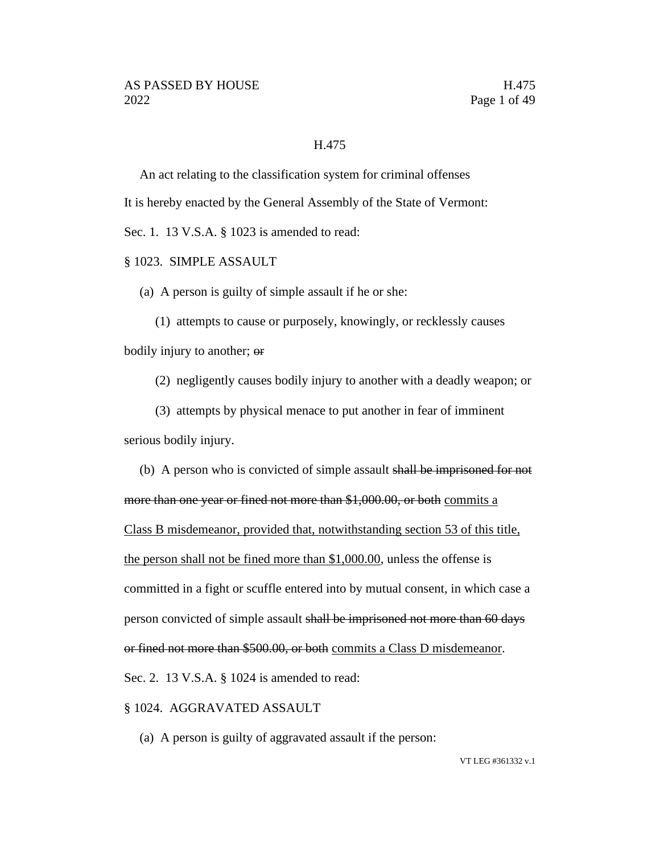#### H.475

An act relating to the classification system for criminal offenses

It is hereby enacted by the General Assembly of the State of Vermont:

Sec. 1. 13 V.S.A. § 1023 is amended to read:

#### § 1023. SIMPLE ASSAULT

(a) A person is guilty of simple assault if he or she:

(1) attempts to cause or purposely, knowingly, or recklessly causes bodily injury to another; or

(2) negligently causes bodily injury to another with a deadly weapon; or

(3) attempts by physical menace to put another in fear of imminent serious bodily injury.

(b) A person who is convicted of simple assault shall be imprisoned for not more than one year or fined not more than \$1,000.00, or both commits a Class B misdemeanor, provided that, notwithstanding section 53 of this title, the person shall not be fined more than \$1,000.00, unless the offense is committed in a fight or scuffle entered into by mutual consent, in which case a person convicted of simple assault shall be imprisoned not more than 60 days or fined not more than \$500.00, or both commits a Class D misdemeanor. Sec. 2. 13 V.S.A. § 1024 is amended to read:

§ 1024. AGGRAVATED ASSAULT

(a) A person is guilty of aggravated assault if the person: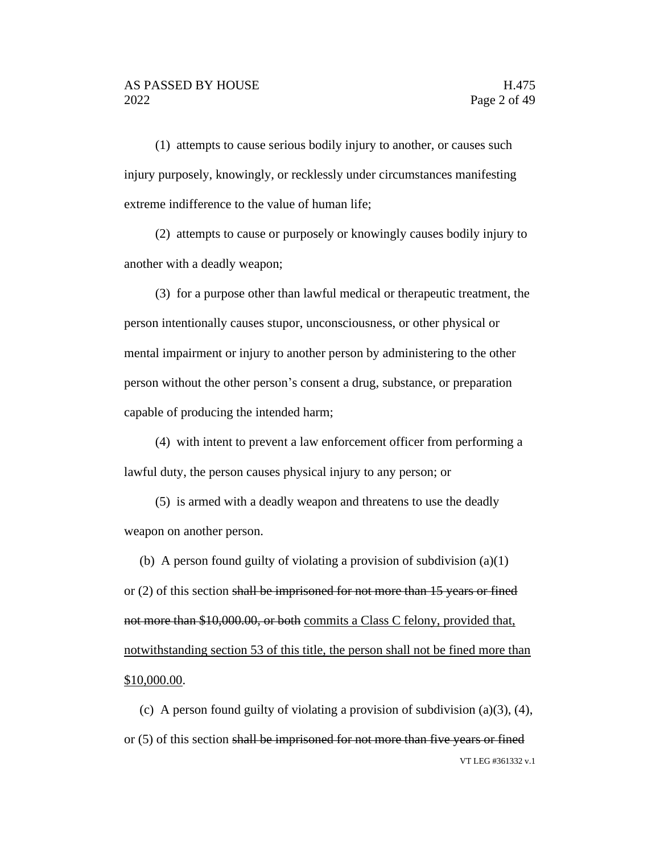(1) attempts to cause serious bodily injury to another, or causes such injury purposely, knowingly, or recklessly under circumstances manifesting extreme indifference to the value of human life;

(2) attempts to cause or purposely or knowingly causes bodily injury to another with a deadly weapon;

(3) for a purpose other than lawful medical or therapeutic treatment, the person intentionally causes stupor, unconsciousness, or other physical or mental impairment or injury to another person by administering to the other person without the other person's consent a drug, substance, or preparation capable of producing the intended harm;

(4) with intent to prevent a law enforcement officer from performing a lawful duty, the person causes physical injury to any person; or

(5) is armed with a deadly weapon and threatens to use the deadly weapon on another person.

(b) A person found guilty of violating a provision of subdivision (a)(1) or (2) of this section shall be imprisoned for not more than 15 years or fined not more than \$10,000.00, or both commits a Class C felony, provided that, notwithstanding section 53 of this title, the person shall not be fined more than \$10,000.00.

VT LEG #361332 v.1 (c) A person found guilty of violating a provision of subdivision  $(a)(3)$ ,  $(4)$ , or (5) of this section shall be imprisoned for not more than five years or fined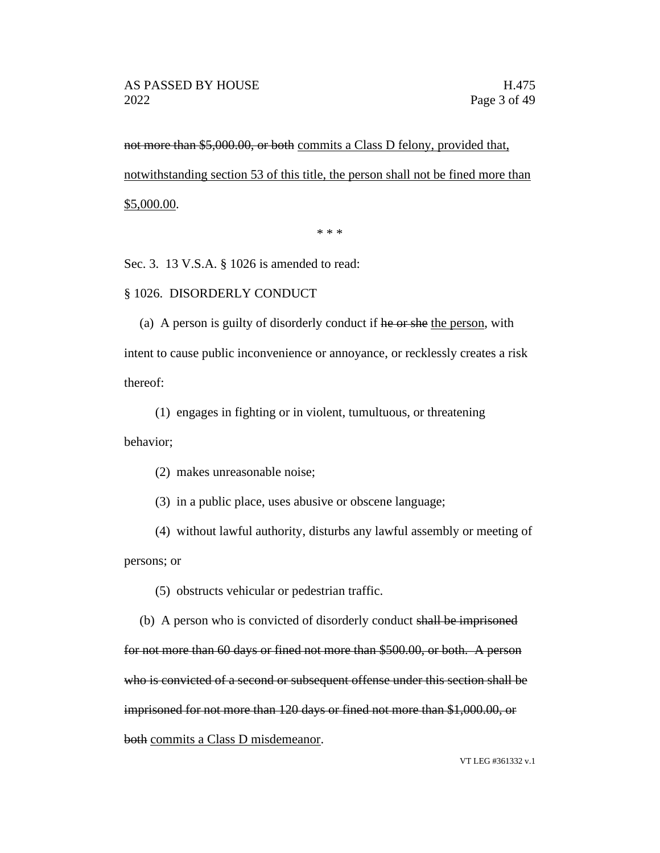not more than \$5,000.00, or both commits a Class D felony, provided that, notwithstanding section 53 of this title, the person shall not be fined more than \$5,000.00.

\* \* \*

Sec. 3. 13 V.S.A. § 1026 is amended to read:

#### § 1026. DISORDERLY CONDUCT

(a) A person is guilty of disorderly conduct if he or she the person, with intent to cause public inconvenience or annoyance, or recklessly creates a risk thereof:

(1) engages in fighting or in violent, tumultuous, or threatening behavior;

(2) makes unreasonable noise;

(3) in a public place, uses abusive or obscene language;

(4) without lawful authority, disturbs any lawful assembly or meeting of persons; or

(5) obstructs vehicular or pedestrian traffic.

(b) A person who is convicted of disorderly conduct shall be imprisoned for not more than 60 days or fined not more than \$500.00, or both. A person who is convicted of a second or subsequent offense under this section shall be imprisoned for not more than 120 days or fined not more than \$1,000.00, or both commits a Class D misdemeanor.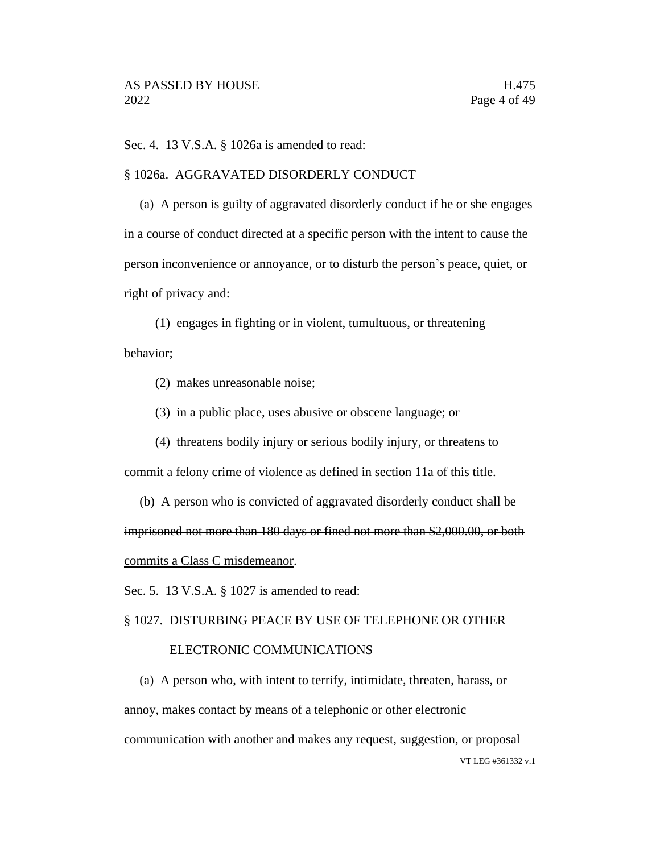Sec. 4. 13 V.S.A. § 1026a is amended to read:

#### § 1026a. AGGRAVATED DISORDERLY CONDUCT

(a) A person is guilty of aggravated disorderly conduct if he or she engages in a course of conduct directed at a specific person with the intent to cause the person inconvenience or annoyance, or to disturb the person's peace, quiet, or right of privacy and:

(1) engages in fighting or in violent, tumultuous, or threatening behavior;

- (2) makes unreasonable noise;
- (3) in a public place, uses abusive or obscene language; or
- (4) threatens bodily injury or serious bodily injury, or threatens to commit a felony crime of violence as defined in section 11a of this title.
- (b) A person who is convicted of aggravated disorderly conduct shall be imprisoned not more than 180 days or fined not more than \$2,000.00, or both commits a Class C misdemeanor.
- Sec. 5. 13 V.S.A. § 1027 is amended to read:

#### § 1027. DISTURBING PEACE BY USE OF TELEPHONE OR OTHER

#### ELECTRONIC COMMUNICATIONS

VT LEG #361332 v.1 (a) A person who, with intent to terrify, intimidate, threaten, harass, or annoy, makes contact by means of a telephonic or other electronic communication with another and makes any request, suggestion, or proposal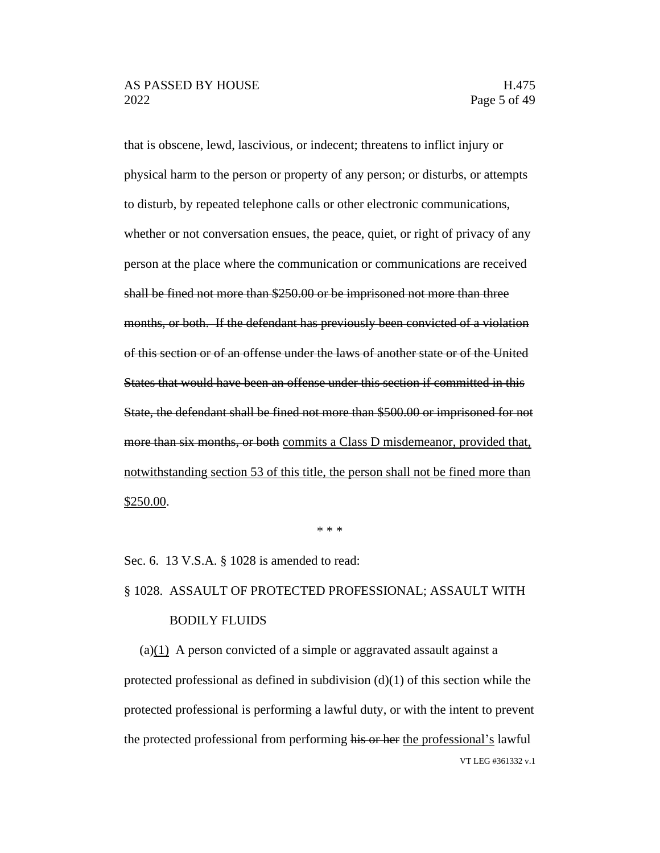that is obscene, lewd, lascivious, or indecent; threatens to inflict injury or physical harm to the person or property of any person; or disturbs, or attempts to disturb, by repeated telephone calls or other electronic communications, whether or not conversation ensues, the peace, quiet, or right of privacy of any person at the place where the communication or communications are received shall be fined not more than \$250.00 or be imprisoned not more than three months, or both. If the defendant has previously been convicted of a violation of this section or of an offense under the laws of another state or of the United States that would have been an offense under this section if committed in this State, the defendant shall be fined not more than \$500.00 or imprisoned for not more than six months, or both commits a Class D misdemeanor, provided that, notwithstanding section 53 of this title, the person shall not be fined more than \$250.00.

\* \* \*

Sec. 6. 13 V.S.A. § 1028 is amended to read:

# § 1028. ASSAULT OF PROTECTED PROFESSIONAL; ASSAULT WITH BODILY FLUIDS

VT LEG #361332 v.1 (a)(1) A person convicted of a simple or aggravated assault against a protected professional as defined in subdivision  $(d)(1)$  of this section while the protected professional is performing a lawful duty, or with the intent to prevent the protected professional from performing his or her the professional's lawful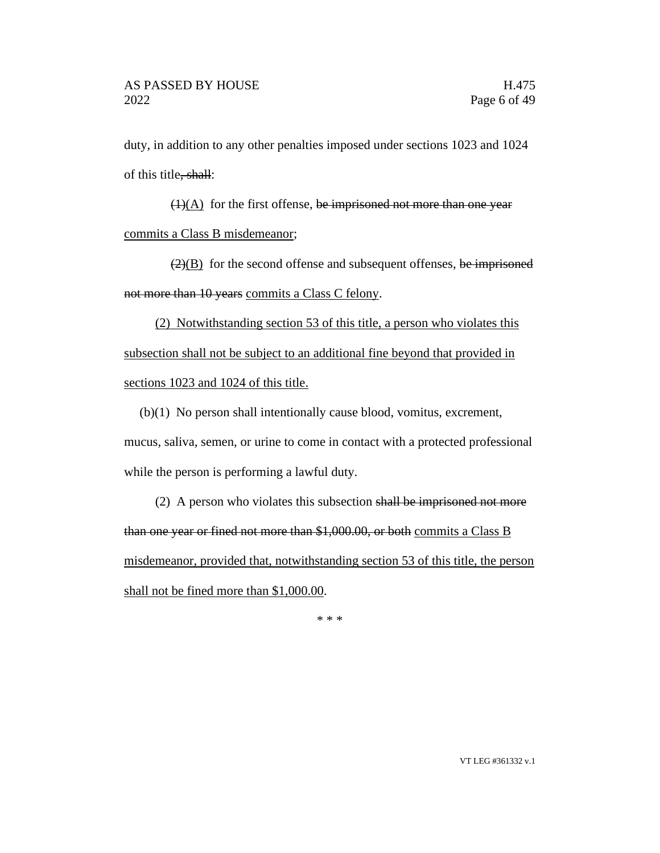duty, in addition to any other penalties imposed under sections 1023 and 1024 of this title, shall:

 $(1)(A)$  for the first offense, be imprisoned not more than one year commits a Class B misdemeanor;

 $\left(\frac{2}{B}\right)$  for the second offense and subsequent offenses, be imprisoned not more than 10 years commits a Class C felony.

(2) Notwithstanding section 53 of this title, a person who violates this subsection shall not be subject to an additional fine beyond that provided in sections 1023 and 1024 of this title.

(b)(1) No person shall intentionally cause blood, vomitus, excrement, mucus, saliva, semen, or urine to come in contact with a protected professional while the person is performing a lawful duty.

(2) A person who violates this subsection shall be imprisoned not more than one year or fined not more than \$1,000.00, or both commits a Class B misdemeanor, provided that, notwithstanding section 53 of this title, the person shall not be fined more than \$1,000.00.

\* \* \*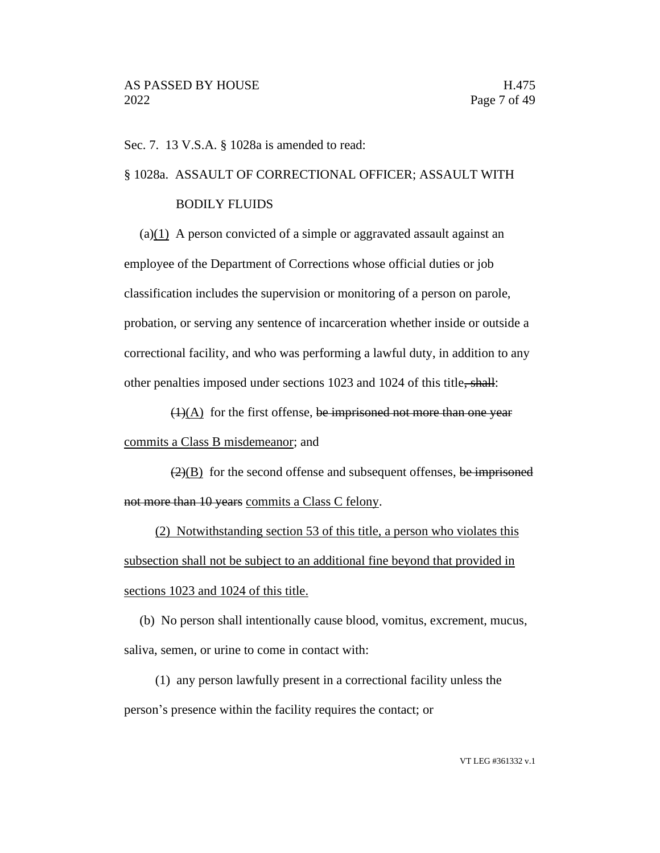Sec. 7. 13 V.S.A. § 1028a is amended to read:

#### § 1028a. ASSAULT OF CORRECTIONAL OFFICER; ASSAULT WITH

#### BODILY FLUIDS

(a) $(1)$  A person convicted of a simple or aggravated assault against an employee of the Department of Corrections whose official duties or job classification includes the supervision or monitoring of a person on parole, probation, or serving any sentence of incarceration whether inside or outside a correctional facility, and who was performing a lawful duty, in addition to any other penalties imposed under sections 1023 and 1024 of this title, shall:

 $(1)(A)$  for the first offense, be imprisoned not more than one year commits a Class B misdemeanor; and

 $\left(2\right)$  for the second offense and subsequent offenses, be imprisoned not more than 10 years commits a Class C felony.

(2) Notwithstanding section 53 of this title, a person who violates this subsection shall not be subject to an additional fine beyond that provided in sections 1023 and 1024 of this title.

(b) No person shall intentionally cause blood, vomitus, excrement, mucus, saliva, semen, or urine to come in contact with:

(1) any person lawfully present in a correctional facility unless the person's presence within the facility requires the contact; or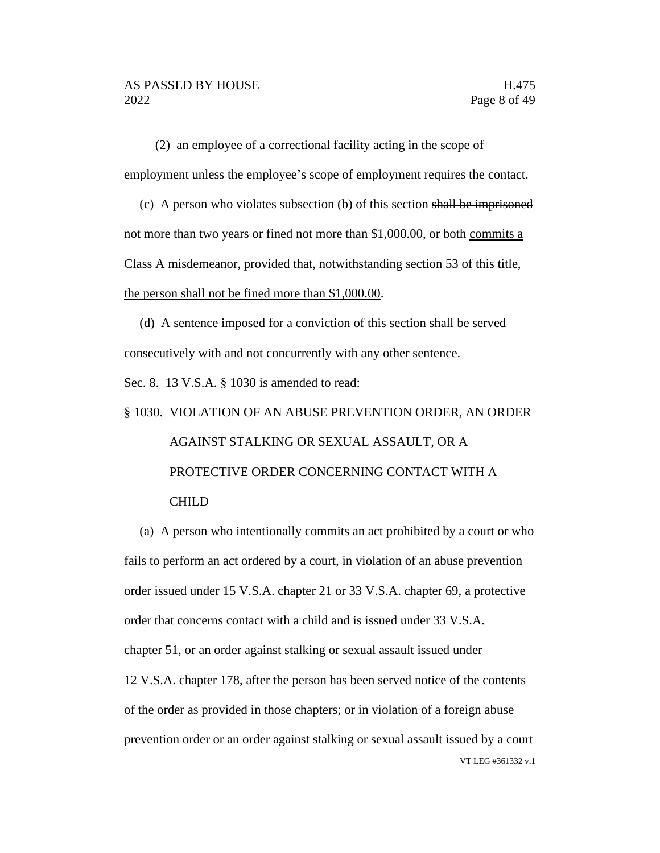(2) an employee of a correctional facility acting in the scope of employment unless the employee's scope of employment requires the contact.

(c) A person who violates subsection (b) of this section shall be imprisoned not more than two years or fined not more than \$1,000.00, or both commits a Class A misdemeanor, provided that, notwithstanding section 53 of this title, the person shall not be fined more than \$1,000.00.

(d) A sentence imposed for a conviction of this section shall be served consecutively with and not concurrently with any other sentence.

Sec. 8. 13 V.S.A. § 1030 is amended to read:

# § 1030. VIOLATION OF AN ABUSE PREVENTION ORDER, AN ORDER AGAINST STALKING OR SEXUAL ASSAULT, OR A PROTECTIVE ORDER CONCERNING CONTACT WITH A CHILD

VT LEG #361332 v.1 (a) A person who intentionally commits an act prohibited by a court or who fails to perform an act ordered by a court, in violation of an abuse prevention order issued under 15 V.S.A. chapter 21 or 33 V.S.A. chapter 69, a protective order that concerns contact with a child and is issued under 33 V.S.A. chapter 51, or an order against stalking or sexual assault issued under 12 V.S.A. chapter 178, after the person has been served notice of the contents of the order as provided in those chapters; or in violation of a foreign abuse prevention order or an order against stalking or sexual assault issued by a court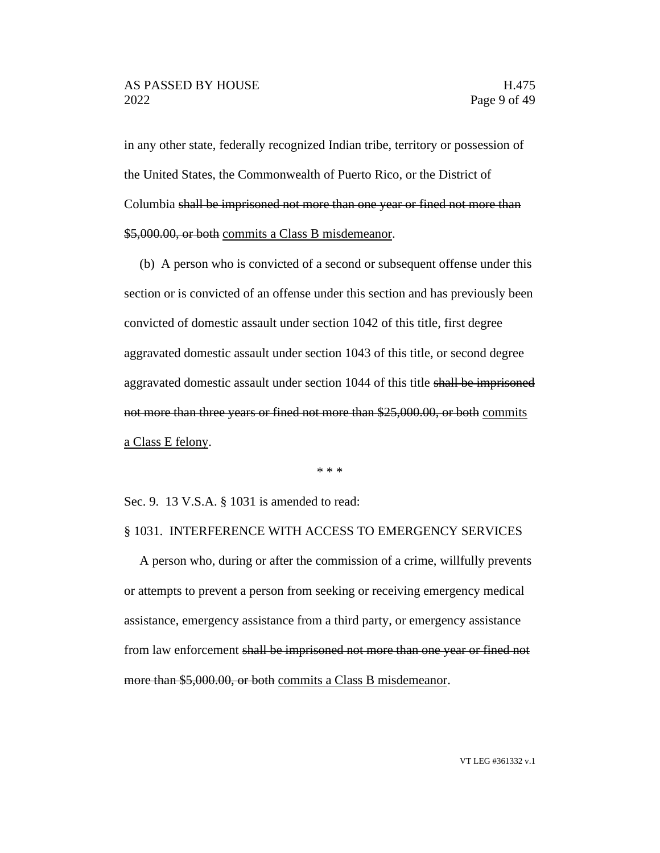in any other state, federally recognized Indian tribe, territory or possession of the United States, the Commonwealth of Puerto Rico, or the District of Columbia shall be imprisoned not more than one year or fined not more than \$5,000.00, or both commits a Class B misdemeanor.

(b) A person who is convicted of a second or subsequent offense under this section or is convicted of an offense under this section and has previously been convicted of domestic assault under section 1042 of this title, first degree aggravated domestic assault under section 1043 of this title, or second degree aggravated domestic assault under section 1044 of this title shall be imprisoned not more than three years or fined not more than \$25,000.00, or both commits a Class E felony.

\* \* \*

Sec. 9. 13 V.S.A. § 1031 is amended to read:

#### § 1031. INTERFERENCE WITH ACCESS TO EMERGENCY SERVICES

A person who, during or after the commission of a crime, willfully prevents or attempts to prevent a person from seeking or receiving emergency medical assistance, emergency assistance from a third party, or emergency assistance from law enforcement shall be imprisoned not more than one year or fined not more than \$5,000.00, or both commits a Class B misdemeanor.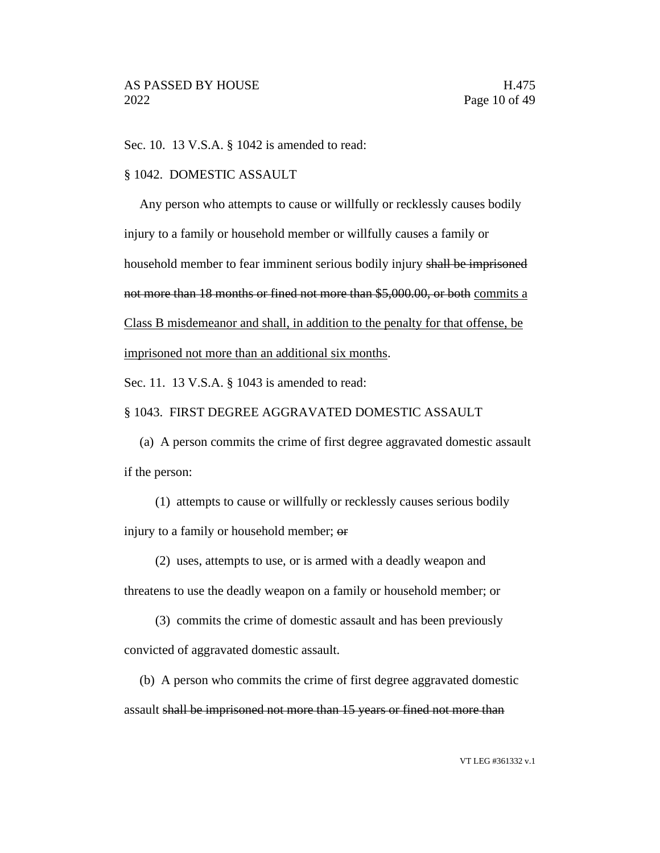Sec. 10. 13 V.S.A. § 1042 is amended to read:

#### § 1042. DOMESTIC ASSAULT

Any person who attempts to cause or willfully or recklessly causes bodily injury to a family or household member or willfully causes a family or household member to fear imminent serious bodily injury shall be imprisoned not more than 18 months or fined not more than \$5,000.00, or both commits a Class B misdemeanor and shall, in addition to the penalty for that offense, be imprisoned not more than an additional six months.

Sec. 11. 13 V.S.A. § 1043 is amended to read:

#### § 1043. FIRST DEGREE AGGRAVATED DOMESTIC ASSAULT

(a) A person commits the crime of first degree aggravated domestic assault if the person:

(1) attempts to cause or willfully or recklessly causes serious bodily injury to a family or household member; or

(2) uses, attempts to use, or is armed with a deadly weapon and

threatens to use the deadly weapon on a family or household member; or

(3) commits the crime of domestic assault and has been previously

convicted of aggravated domestic assault.

(b) A person who commits the crime of first degree aggravated domestic assault shall be imprisoned not more than 15 years or fined not more than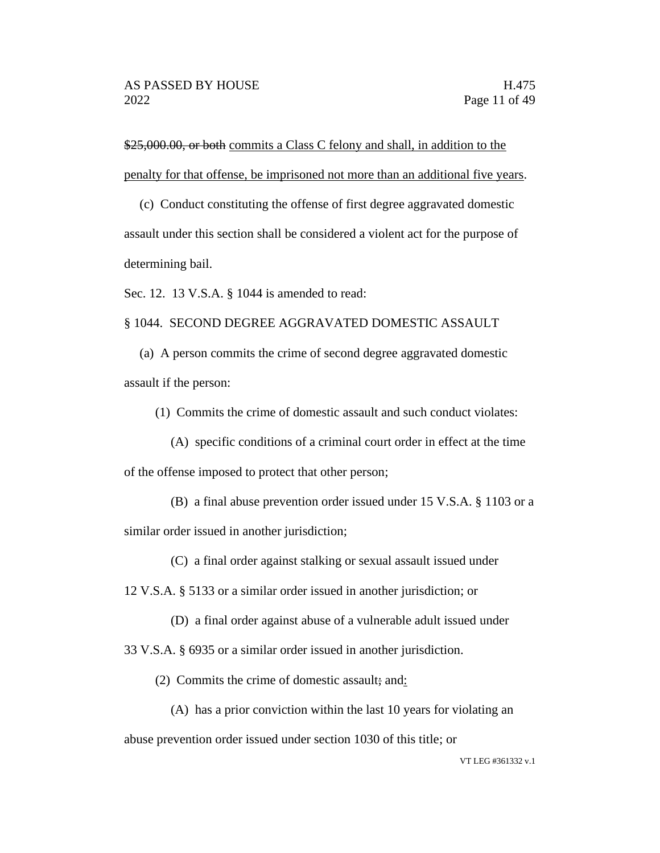\$25,000.00, or both commits a Class C felony and shall, in addition to the penalty for that offense, be imprisoned not more than an additional five years.

(c) Conduct constituting the offense of first degree aggravated domestic assault under this section shall be considered a violent act for the purpose of determining bail.

Sec. 12. 13 V.S.A. § 1044 is amended to read:

§ 1044. SECOND DEGREE AGGRAVATED DOMESTIC ASSAULT

(a) A person commits the crime of second degree aggravated domestic assault if the person:

(1) Commits the crime of domestic assault and such conduct violates:

- (A) specific conditions of a criminal court order in effect at the time of the offense imposed to protect that other person;
	- (B) a final abuse prevention order issued under 15 V.S.A. § 1103 or a

similar order issued in another jurisdiction;

(C) a final order against stalking or sexual assault issued under

12 V.S.A. § 5133 or a similar order issued in another jurisdiction; or

(D) a final order against abuse of a vulnerable adult issued under

33 V.S.A. § 6935 or a similar order issued in another jurisdiction.

(2) Commits the crime of domestic assault; and:

(A) has a prior conviction within the last 10 years for violating an

abuse prevention order issued under section 1030 of this title; or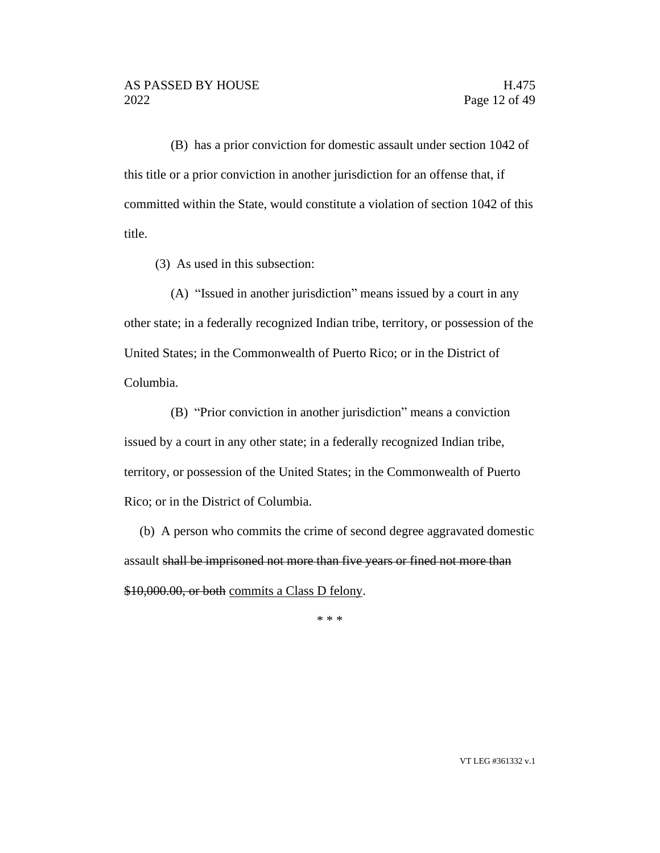(B) has a prior conviction for domestic assault under section 1042 of this title or a prior conviction in another jurisdiction for an offense that, if committed within the State, would constitute a violation of section 1042 of this title.

(3) As used in this subsection:

(A) "Issued in another jurisdiction" means issued by a court in any other state; in a federally recognized Indian tribe, territory, or possession of the United States; in the Commonwealth of Puerto Rico; or in the District of Columbia.

(B) "Prior conviction in another jurisdiction" means a conviction issued by a court in any other state; in a federally recognized Indian tribe, territory, or possession of the United States; in the Commonwealth of Puerto Rico; or in the District of Columbia.

(b) A person who commits the crime of second degree aggravated domestic assault shall be imprisoned not more than five years or fined not more than \$10,000.00, or both commits a Class D felony.

\* \* \*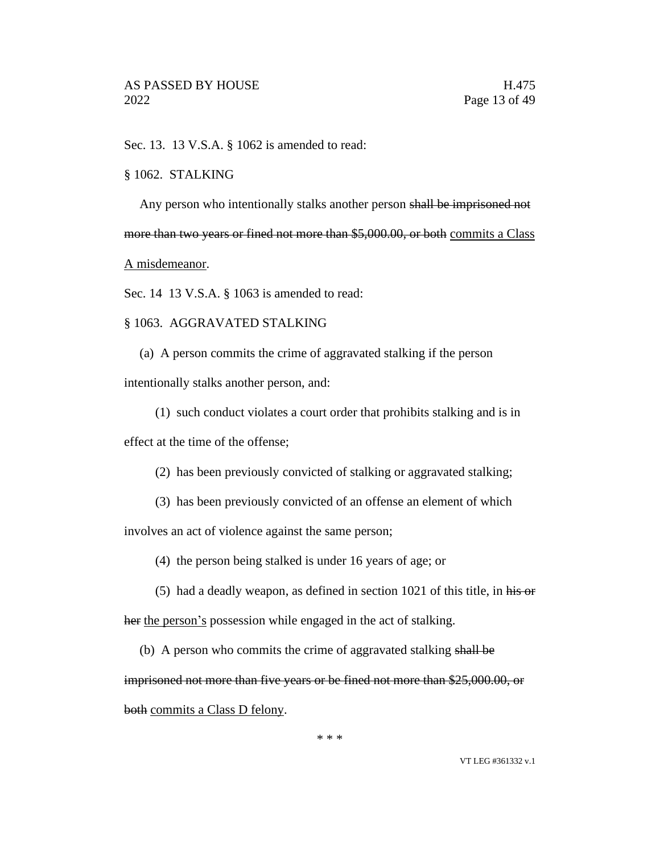Sec. 13. 13 V.S.A. § 1062 is amended to read:

#### § 1062. STALKING

Any person who intentionally stalks another person shall be imprisoned not more than two years or fined not more than \$5,000.00, or both commits a Class

A misdemeanor.

Sec. 14 13 V.S.A. § 1063 is amended to read:

#### § 1063. AGGRAVATED STALKING

(a) A person commits the crime of aggravated stalking if the person

intentionally stalks another person, and:

(1) such conduct violates a court order that prohibits stalking and is in

effect at the time of the offense;

(2) has been previously convicted of stalking or aggravated stalking;

(3) has been previously convicted of an offense an element of which

involves an act of violence against the same person;

(4) the person being stalked is under 16 years of age; or

- (5) had a deadly weapon, as defined in section  $1021$  of this title, in his or her the person's possession while engaged in the act of stalking.
	- (b) A person who commits the crime of aggravated stalking shall be

imprisoned not more than five years or be fined not more than \$25,000.00, or both commits a Class D felony.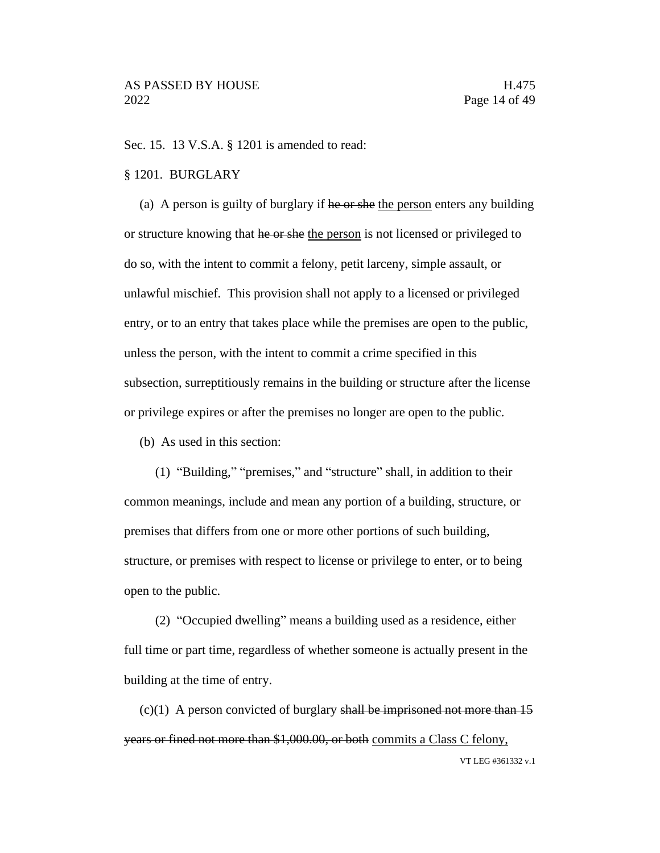Sec. 15. 13 V.S.A. § 1201 is amended to read:

#### § 1201. BURGLARY

(a) A person is guilty of burglary if he or she the person enters any building or structure knowing that he or she the person is not licensed or privileged to do so, with the intent to commit a felony, petit larceny, simple assault, or unlawful mischief. This provision shall not apply to a licensed or privileged entry, or to an entry that takes place while the premises are open to the public, unless the person, with the intent to commit a crime specified in this subsection, surreptitiously remains in the building or structure after the license or privilege expires or after the premises no longer are open to the public.

(b) As used in this section:

(1) "Building," "premises," and "structure" shall, in addition to their common meanings, include and mean any portion of a building, structure, or premises that differs from one or more other portions of such building, structure, or premises with respect to license or privilege to enter, or to being open to the public.

(2) "Occupied dwelling" means a building used as a residence, either full time or part time, regardless of whether someone is actually present in the building at the time of entry.

VT LEG #361332 v.1  $(c)(1)$  A person convicted of burglary shall be imprisoned not more than 15 years or fined not more than \$1,000.00, or both commits a Class C felony,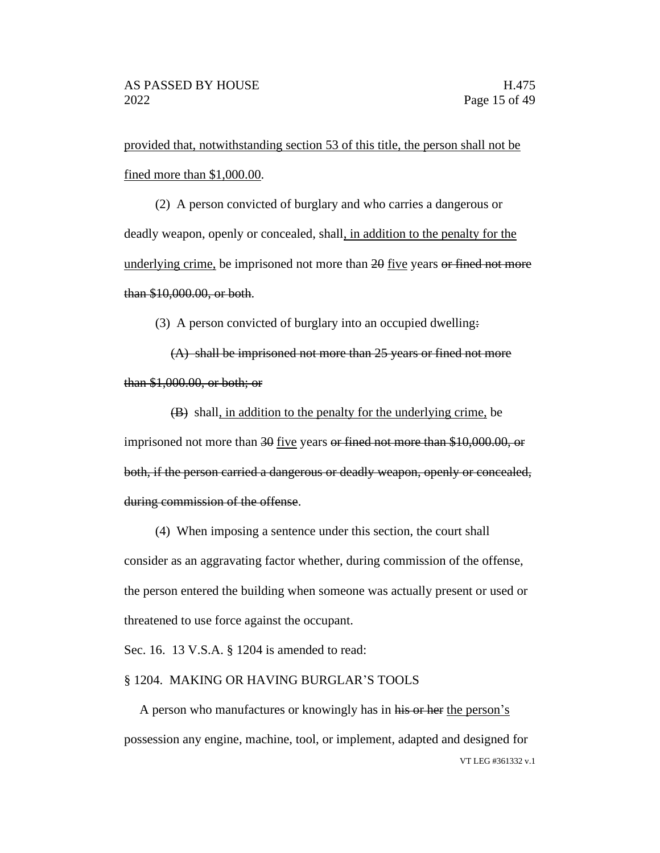provided that, notwithstanding section 53 of this title, the person shall not be fined more than \$1,000.00.

(2) A person convicted of burglary and who carries a dangerous or deadly weapon, openly or concealed, shall, in addition to the penalty for the underlying crime, be imprisoned not more than 20 five years or fined not more than \$10,000.00, or both.

(3) A person convicted of burglary into an occupied dwelling:

(A) shall be imprisoned not more than 25 years or fined not more than \$1,000.00, or both; or

(B) shall, in addition to the penalty for the underlying crime, be imprisoned not more than 30 five years or fined not more than \$10,000.00, or both, if the person carried a dangerous or deadly weapon, openly or concealed, during commission of the offense.

(4) When imposing a sentence under this section, the court shall consider as an aggravating factor whether, during commission of the offense, the person entered the building when someone was actually present or used or threatened to use force against the occupant.

Sec. 16. 13 V.S.A. § 1204 is amended to read:

#### § 1204. MAKING OR HAVING BURGLAR'S TOOLS

VT LEG #361332 v.1 A person who manufactures or knowingly has in his or her the person's possession any engine, machine, tool, or implement, adapted and designed for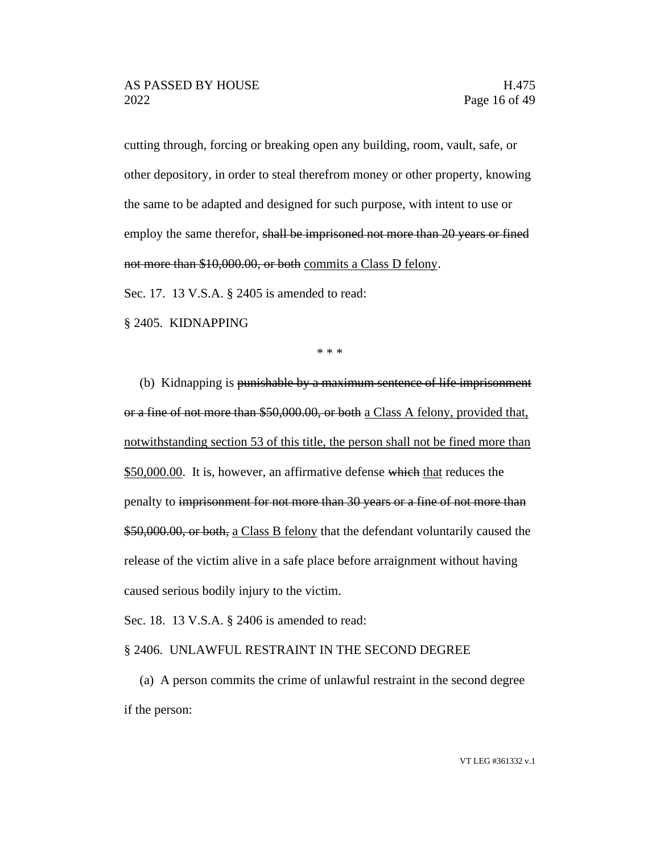cutting through, forcing or breaking open any building, room, vault, safe, or other depository, in order to steal therefrom money or other property, knowing the same to be adapted and designed for such purpose, with intent to use or employ the same therefor, shall be imprisoned not more than 20 years or fined not more than \$10,000.00, or both commits a Class D felony.

Sec. 17. 13 V.S.A. § 2405 is amended to read:

§ 2405. KIDNAPPING

\* \* \*

(b) Kidnapping is punishable by a maximum sentence of life imprisonment or a fine of not more than \$50,000.00, or both a Class A felony, provided that, notwithstanding section 53 of this title, the person shall not be fined more than \$50,000.00. It is, however, an affirmative defense which that reduces the penalty to imprisonment for not more than 30 years or a fine of not more than \$50,000.00, or both, a Class B felony that the defendant voluntarily caused the release of the victim alive in a safe place before arraignment without having caused serious bodily injury to the victim.

Sec. 18. 13 V.S.A. § 2406 is amended to read:

#### § 2406. UNLAWFUL RESTRAINT IN THE SECOND DEGREE

(a) A person commits the crime of unlawful restraint in the second degree if the person: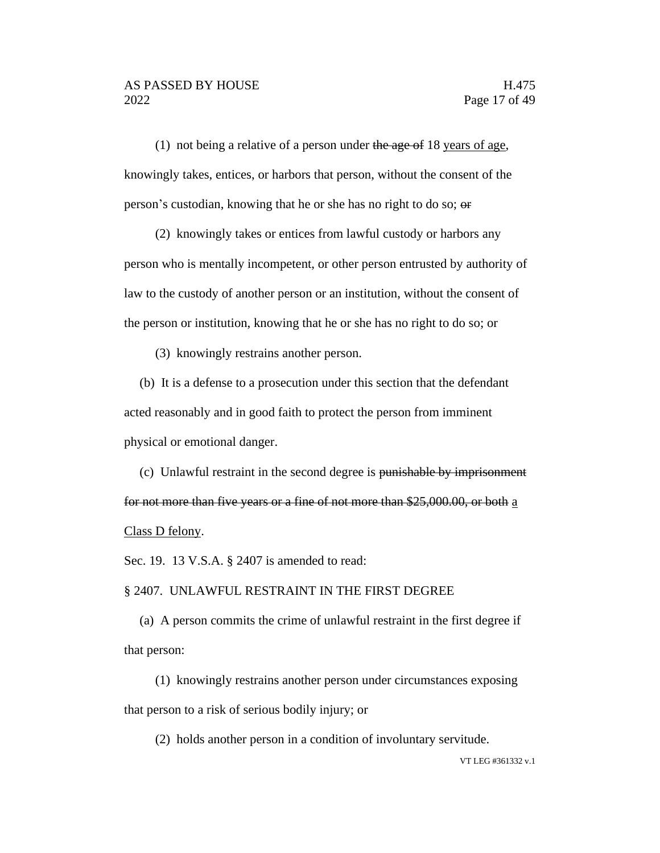(1) not being a relative of a person under the age of 18 years of age, knowingly takes, entices, or harbors that person, without the consent of the person's custodian, knowing that he or she has no right to do so; or

(2) knowingly takes or entices from lawful custody or harbors any

person who is mentally incompetent, or other person entrusted by authority of law to the custody of another person or an institution, without the consent of the person or institution, knowing that he or she has no right to do so; or

(3) knowingly restrains another person.

(b) It is a defense to a prosecution under this section that the defendant acted reasonably and in good faith to protect the person from imminent physical or emotional danger.

(c) Unlawful restraint in the second degree is punishable by imprisonment for not more than five years or a fine of not more than \$25,000.00, or both a Class D felony.

Sec. 19. 13 V.S.A. § 2407 is amended to read:

§ 2407. UNLAWFUL RESTRAINT IN THE FIRST DEGREE

(a) A person commits the crime of unlawful restraint in the first degree if that person:

(1) knowingly restrains another person under circumstances exposing that person to a risk of serious bodily injury; or

(2) holds another person in a condition of involuntary servitude.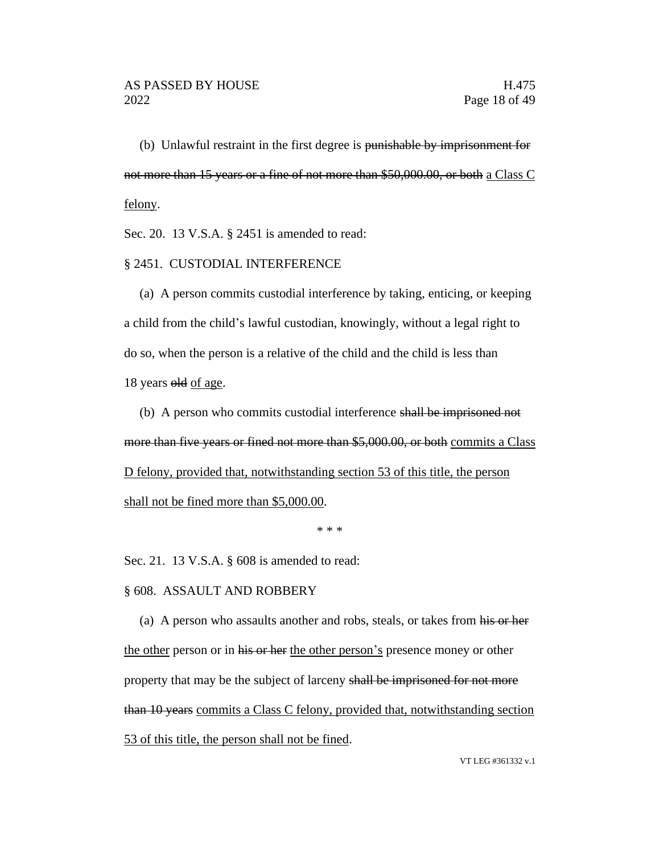(b) Unlawful restraint in the first degree is punishable by imprisonment for not more than 15 years or a fine of not more than \$50,000.00, or both a Class C felony.

Sec. 20. 13 V.S.A. § 2451 is amended to read:

#### § 2451. CUSTODIAL INTERFERENCE

(a) A person commits custodial interference by taking, enticing, or keeping a child from the child's lawful custodian, knowingly, without a legal right to do so, when the person is a relative of the child and the child is less than 18 years old of age.

(b) A person who commits custodial interference shall be imprisoned not more than five years or fined not more than \$5,000.00, or both commits a Class D felony, provided that, notwithstanding section 53 of this title, the person shall not be fined more than \$5,000.00.

\* \* \*

Sec. 21. 13 V.S.A. § 608 is amended to read:

§ 608. ASSAULT AND ROBBERY

(a) A person who assaults another and robs, steals, or takes from his or her the other person or in his or her the other person's presence money or other property that may be the subject of larceny shall be imprisoned for not more than 10 years commits a Class C felony, provided that, notwithstanding section 53 of this title, the person shall not be fined.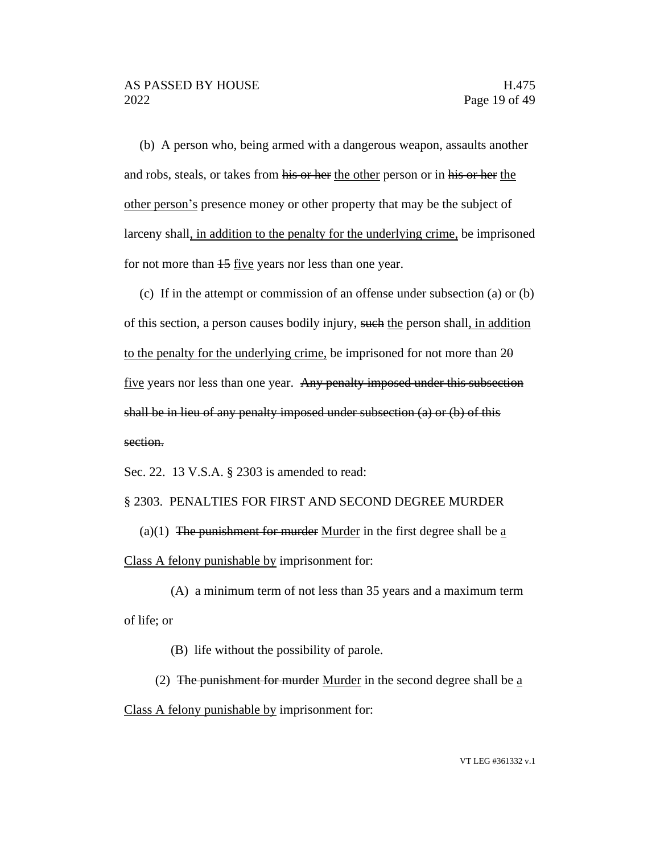(b) A person who, being armed with a dangerous weapon, assaults another and robs, steals, or takes from his or her the other person or in his or her the other person's presence money or other property that may be the subject of larceny shall, in addition to the penalty for the underlying crime, be imprisoned for not more than 15 five years nor less than one year.

(c) If in the attempt or commission of an offense under subsection (a) or (b) of this section, a person causes bodily injury, such the person shall, in addition to the penalty for the underlying crime, be imprisoned for not more than 20 five years nor less than one year. Any penalty imposed under this subsection shall be in lieu of any penalty imposed under subsection (a) or (b) of this section.

Sec. 22. 13 V.S.A. § 2303 is amended to read:

#### § 2303. PENALTIES FOR FIRST AND SECOND DEGREE MURDER

(a)(1) The punishment for murder Murder in the first degree shall be  $\underline{a}$ Class A felony punishable by imprisonment for:

(A) a minimum term of not less than 35 years and a maximum term of life; or

(B) life without the possibility of parole.

(2) The punishment for murder Murder in the second degree shall be  $\underline{a}$ Class A felony punishable by imprisonment for: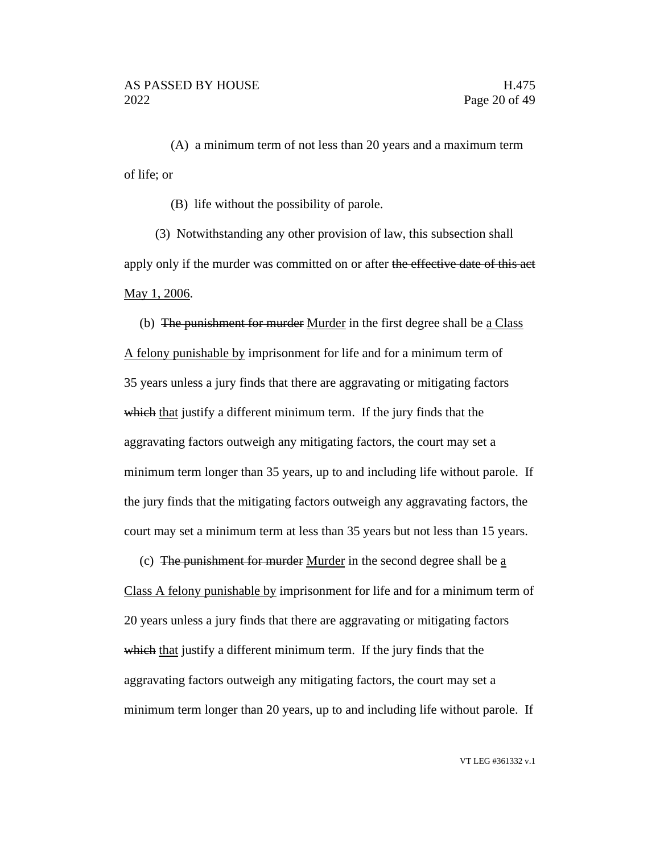(A) a minimum term of not less than 20 years and a maximum term of life; or

(B) life without the possibility of parole.

(3) Notwithstanding any other provision of law, this subsection shall apply only if the murder was committed on or after the effective date of this act May 1, 2006.

(b) The punishment for murder Murder in the first degree shall be a Class A felony punishable by imprisonment for life and for a minimum term of 35 years unless a jury finds that there are aggravating or mitigating factors which that justify a different minimum term. If the jury finds that the aggravating factors outweigh any mitigating factors, the court may set a minimum term longer than 35 years, up to and including life without parole. If the jury finds that the mitigating factors outweigh any aggravating factors, the court may set a minimum term at less than 35 years but not less than 15 years.

(c) The punishment for murder Murder in the second degree shall be  $\underline{a}$ 

Class A felony punishable by imprisonment for life and for a minimum term of 20 years unless a jury finds that there are aggravating or mitigating factors which that justify a different minimum term. If the jury finds that the aggravating factors outweigh any mitigating factors, the court may set a minimum term longer than 20 years, up to and including life without parole. If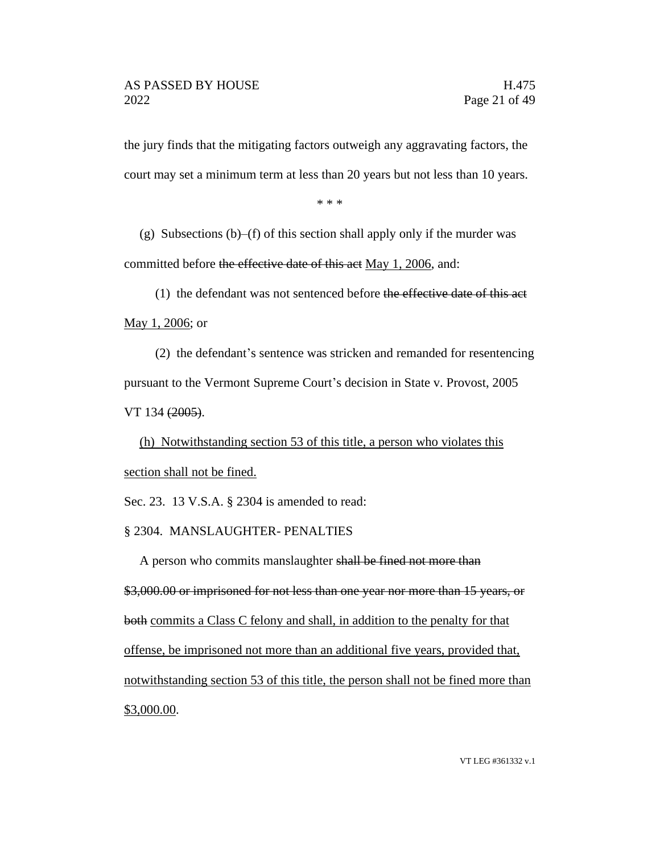the jury finds that the mitigating factors outweigh any aggravating factors, the court may set a minimum term at less than 20 years but not less than 10 years.

\* \* \*

(g) Subsections  $(b)$ –(f) of this section shall apply only if the murder was committed before the effective date of this act May 1, 2006, and:

(1) the defendant was not sentenced before the effective date of this act May 1, 2006; or

(2) the defendant's sentence was stricken and remanded for resentencing pursuant to the Vermont Supreme Court's decision in State v. Provost, 2005 VT 134 (2005).

(h) Notwithstanding section 53 of this title, a person who violates this section shall not be fined.

Sec. 23. 13 V.S.A. § 2304 is amended to read:

§ 2304. MANSLAUGHTER- PENALTIES

A person who commits manslaughter shall be fined not more than

\$3,000.00 or imprisoned for not less than one year nor more than 15 years, or both commits a Class C felony and shall, in addition to the penalty for that offense, be imprisoned not more than an additional five years, provided that, notwithstanding section 53 of this title, the person shall not be fined more than \$3,000.00.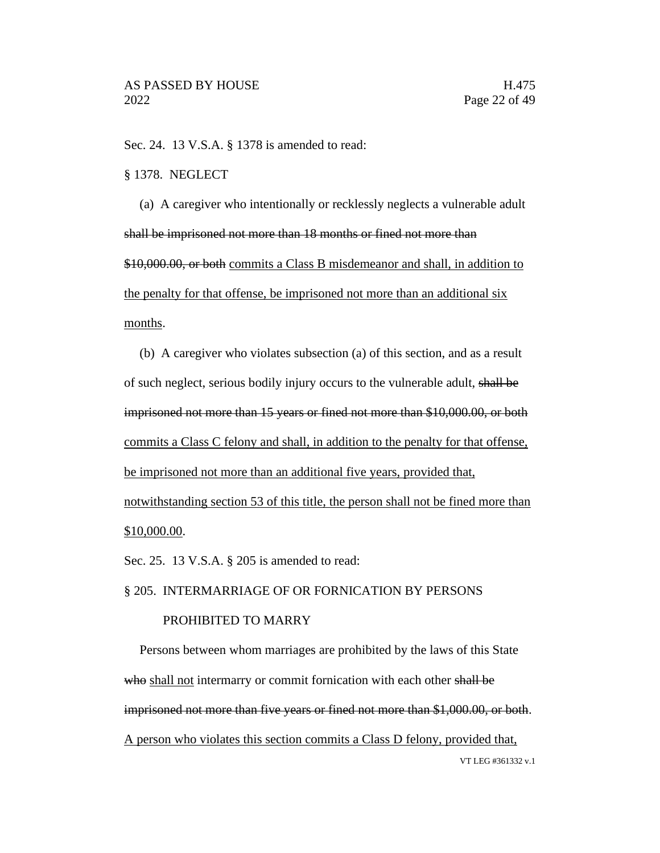Sec. 24. 13 V.S.A. § 1378 is amended to read:

#### § 1378. NEGLECT

(a) A caregiver who intentionally or recklessly neglects a vulnerable adult shall be imprisoned not more than 18 months or fined not more than \$10,000.00, or both commits a Class B misdemeanor and shall, in addition to the penalty for that offense, be imprisoned not more than an additional six months.

(b) A caregiver who violates subsection (a) of this section, and as a result of such neglect, serious bodily injury occurs to the vulnerable adult, shall be imprisoned not more than 15 years or fined not more than \$10,000.00, or both commits a Class C felony and shall, in addition to the penalty for that offense, be imprisoned not more than an additional five years, provided that, notwithstanding section 53 of this title, the person shall not be fined more than \$10,000.00.

Sec. 25. 13 V.S.A. § 205 is amended to read:

## § 205. INTERMARRIAGE OF OR FORNICATION BY PERSONS

#### PROHIBITED TO MARRY

VT LEG #361332 v.1 Persons between whom marriages are prohibited by the laws of this State who shall not intermarry or commit fornication with each other shall be imprisoned not more than five years or fined not more than \$1,000.00, or both. A person who violates this section commits a Class D felony, provided that,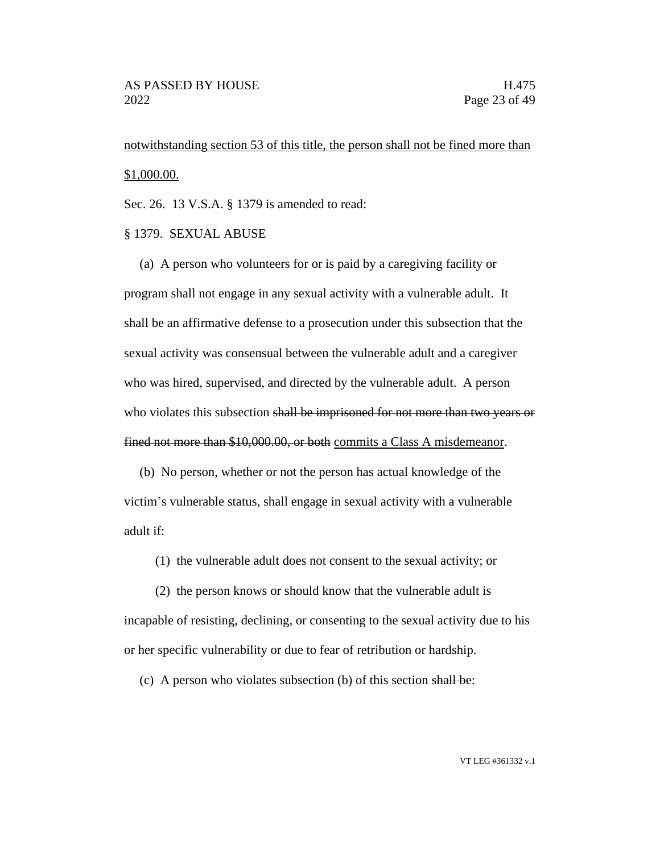notwithstanding section 53 of this title, the person shall not be fined more than \$1,000.00.

Sec. 26. 13 V.S.A. § 1379 is amended to read:

#### § 1379. SEXUAL ABUSE

(a) A person who volunteers for or is paid by a caregiving facility or program shall not engage in any sexual activity with a vulnerable adult. It shall be an affirmative defense to a prosecution under this subsection that the sexual activity was consensual between the vulnerable adult and a caregiver who was hired, supervised, and directed by the vulnerable adult. A person who violates this subsection shall be imprisoned for not more than two years or fined not more than \$10,000.00, or both commits a Class A misdemeanor.

(b) No person, whether or not the person has actual knowledge of the victim's vulnerable status, shall engage in sexual activity with a vulnerable adult if:

(1) the vulnerable adult does not consent to the sexual activity; or

(2) the person knows or should know that the vulnerable adult is incapable of resisting, declining, or consenting to the sexual activity due to his or her specific vulnerability or due to fear of retribution or hardship.

(c) A person who violates subsection (b) of this section shall be: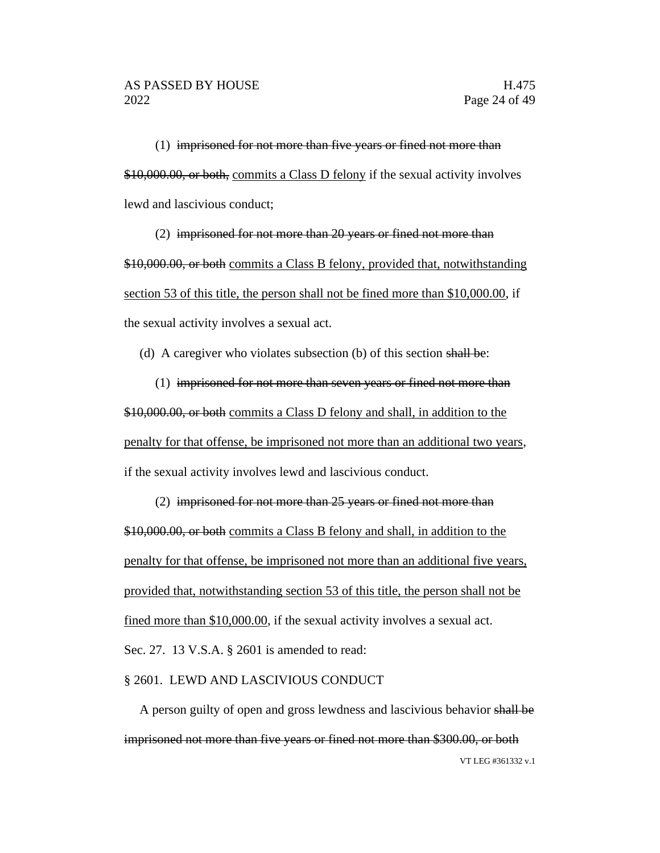(1) imprisoned for not more than five years or fined not more than \$10,000.00, or both, commits a Class D felony if the sexual activity involves lewd and lascivious conduct;

(2) imprisoned for not more than 20 years or fined not more than \$10,000.00, or both commits a Class B felony, provided that, notwithstanding section 53 of this title, the person shall not be fined more than \$10,000.00, if the sexual activity involves a sexual act.

(d) A caregiver who violates subsection (b) of this section shall be:

(1) imprisoned for not more than seven years or fined not more than \$10,000.00, or both commits a Class D felony and shall, in addition to the penalty for that offense, be imprisoned not more than an additional two years, if the sexual activity involves lewd and lascivious conduct.

# (2) imprisoned for not more than 25 years or fined not more than \$10,000.00, or both commits a Class B felony and shall, in addition to the penalty for that offense, be imprisoned not more than an additional five years, provided that, notwithstanding section 53 of this title, the person shall not be fined more than \$10,000.00, if the sexual activity involves a sexual act. Sec. 27. 13 V.S.A. § 2601 is amended to read:

#### § 2601. LEWD AND LASCIVIOUS CONDUCT

VT LEG #361332 v.1 A person guilty of open and gross lewdness and lascivious behavior shall be imprisoned not more than five years or fined not more than \$300.00, or both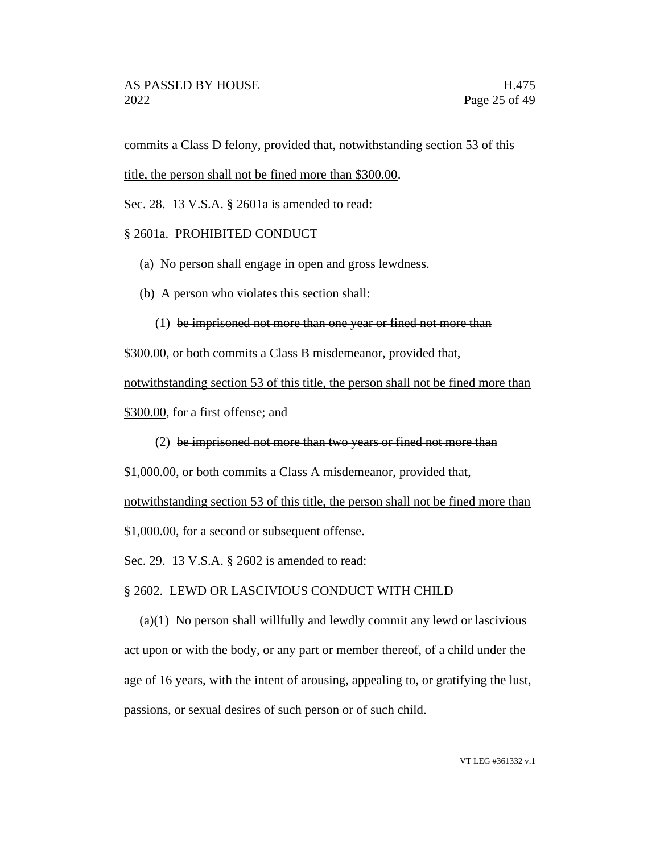commits a Class D felony, provided that, notwithstanding section 53 of this

title, the person shall not be fined more than \$300.00.

Sec. 28. 13 V.S.A. § 2601a is amended to read:

### § 2601a. PROHIBITED CONDUCT

- (a) No person shall engage in open and gross lewdness.
- (b) A person who violates this section shall:
	- (1) be imprisoned not more than one year or fined not more than

\$300.00, or both commits a Class B misdemeanor, provided that,

notwithstanding section 53 of this title, the person shall not be fined more than

\$300.00, for a first offense; and

(2) be imprisoned not more than two years or fined not more than

\$1,000.00, or both commits a Class A misdemeanor, provided that,

notwithstanding section 53 of this title, the person shall not be fined more than

\$1,000.00, for a second or subsequent offense.

Sec. 29. 13 V.S.A. § 2602 is amended to read:

§ 2602. LEWD OR LASCIVIOUS CONDUCT WITH CHILD

(a)(1) No person shall willfully and lewdly commit any lewd or lascivious act upon or with the body, or any part or member thereof, of a child under the age of 16 years, with the intent of arousing, appealing to, or gratifying the lust, passions, or sexual desires of such person or of such child.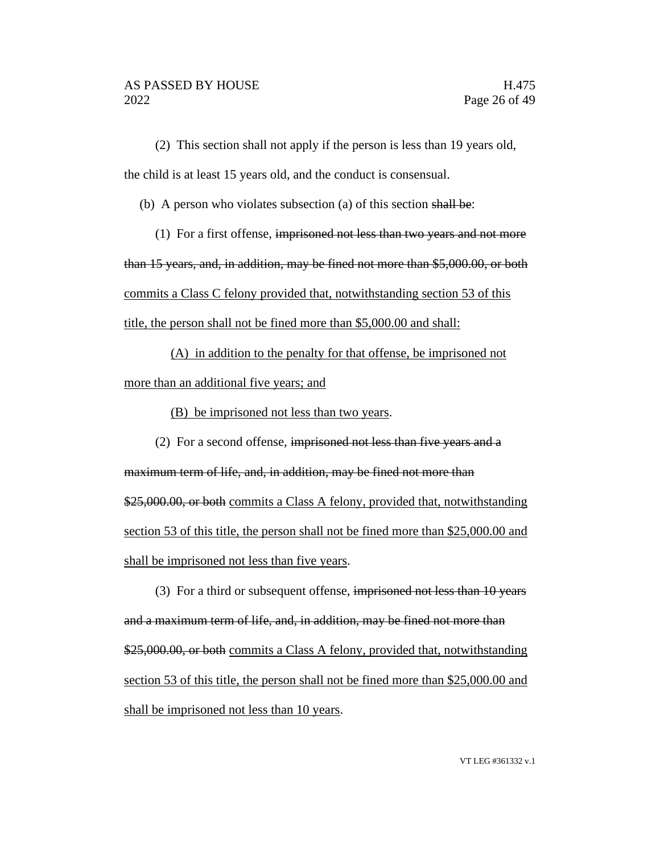(2) This section shall not apply if the person is less than 19 years old, the child is at least 15 years old, and the conduct is consensual.

(b) A person who violates subsection (a) of this section shall be:

(1) For a first offense, imprisoned not less than two years and not more

than 15 years, and, in addition, may be fined not more than \$5,000.00, or both

commits a Class C felony provided that, notwithstanding section 53 of this title, the person shall not be fined more than \$5,000.00 and shall:

(A) in addition to the penalty for that offense, be imprisoned not

more than an additional five years; and

(B) be imprisoned not less than two years.

(2) For a second offense, imprisoned not less than five years and a

maximum term of life, and, in addition, may be fined not more than \$25,000.00, or both commits a Class A felony, provided that, notwithstanding section 53 of this title, the person shall not be fined more than \$25,000.00 and shall be imprisoned not less than five years.

(3) For a third or subsequent offense, imprisoned not less than 10 years and a maximum term of life, and, in addition, may be fined not more than \$25,000.00, or both commits a Class A felony, provided that, notwithstanding section 53 of this title, the person shall not be fined more than \$25,000.00 and shall be imprisoned not less than 10 years.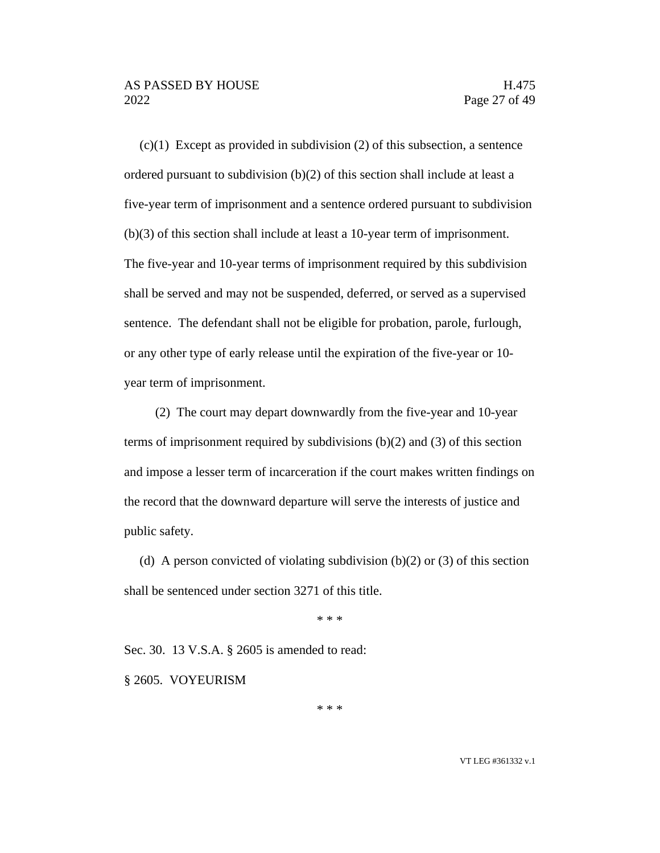$(c)(1)$  Except as provided in subdivision (2) of this subsection, a sentence ordered pursuant to subdivision (b)(2) of this section shall include at least a five-year term of imprisonment and a sentence ordered pursuant to subdivision (b)(3) of this section shall include at least a 10-year term of imprisonment. The five-year and 10-year terms of imprisonment required by this subdivision shall be served and may not be suspended, deferred, or served as a supervised sentence. The defendant shall not be eligible for probation, parole, furlough, or any other type of early release until the expiration of the five-year or 10 year term of imprisonment.

(2) The court may depart downwardly from the five-year and 10-year terms of imprisonment required by subdivisions (b)(2) and (3) of this section and impose a lesser term of incarceration if the court makes written findings on the record that the downward departure will serve the interests of justice and public safety.

(d) A person convicted of violating subdivision (b)(2) or (3) of this section shall be sentenced under section 3271 of this title.

\* \* \*

Sec. 30. 13 V.S.A. § 2605 is amended to read:

§ 2605. VOYEURISM

\* \* \*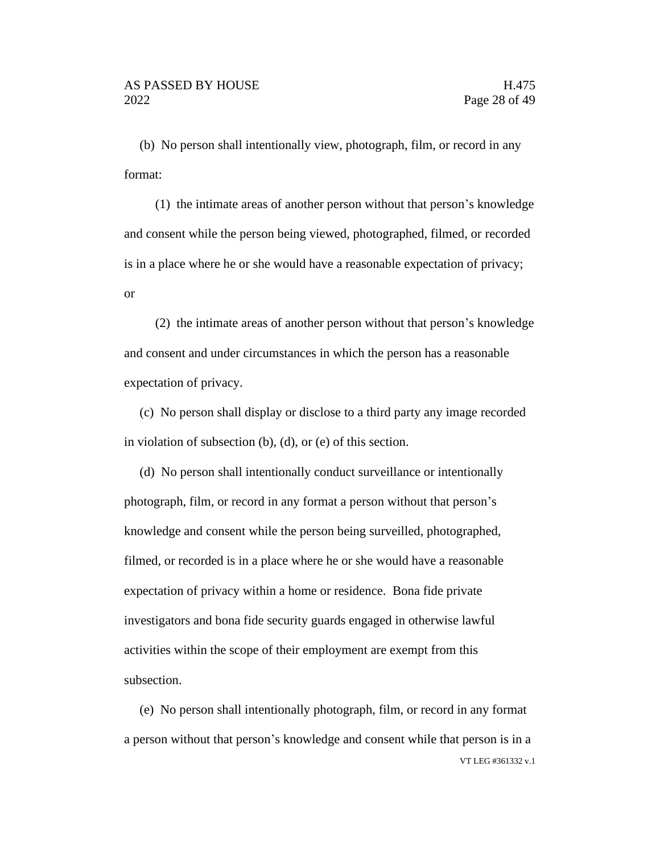(b) No person shall intentionally view, photograph, film, or record in any format:

(1) the intimate areas of another person without that person's knowledge and consent while the person being viewed, photographed, filmed, or recorded is in a place where he or she would have a reasonable expectation of privacy; or

(2) the intimate areas of another person without that person's knowledge and consent and under circumstances in which the person has a reasonable expectation of privacy.

(c) No person shall display or disclose to a third party any image recorded in violation of subsection (b), (d), or (e) of this section.

(d) No person shall intentionally conduct surveillance or intentionally photograph, film, or record in any format a person without that person's knowledge and consent while the person being surveilled, photographed, filmed, or recorded is in a place where he or she would have a reasonable expectation of privacy within a home or residence. Bona fide private investigators and bona fide security guards engaged in otherwise lawful activities within the scope of their employment are exempt from this subsection.

VT LEG #361332 v.1 (e) No person shall intentionally photograph, film, or record in any format a person without that person's knowledge and consent while that person is in a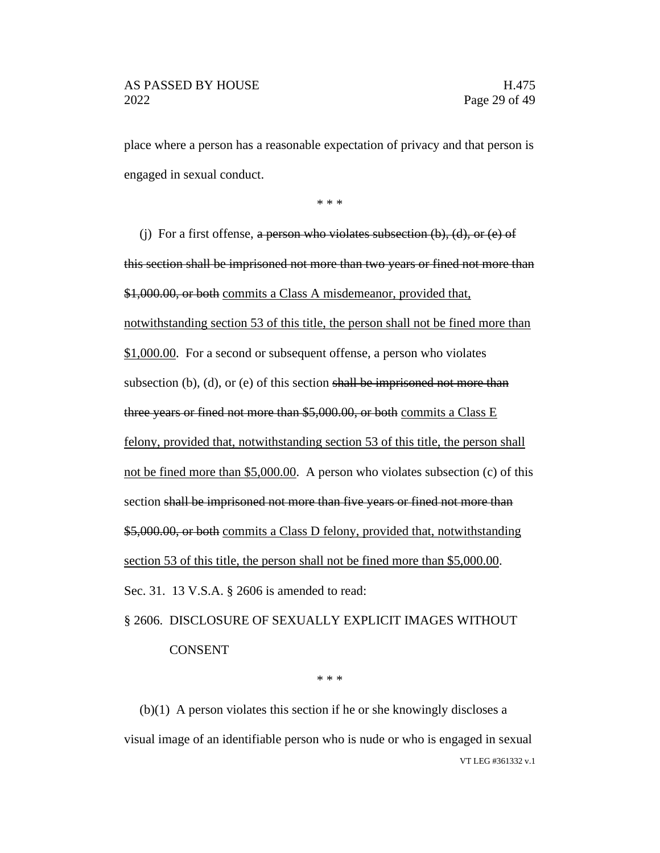place where a person has a reasonable expectation of privacy and that person is engaged in sexual conduct.

\* \* \*

(j) For a first offense, a person who violates subsection  $(b)$ ,  $(d)$ , or  $(e)$  of this section shall be imprisoned not more than two years or fined not more than \$1,000.00, or both commits a Class A misdemeanor, provided that, notwithstanding section 53 of this title, the person shall not be fined more than \$1,000.00. For a second or subsequent offense, a person who violates subsection (b), (d), or (e) of this section shall be imprisoned not more than three years or fined not more than \$5,000.00, or both commits a Class E felony, provided that, notwithstanding section 53 of this title, the person shall not be fined more than \$5,000.00. A person who violates subsection (c) of this section shall be imprisoned not more than five years or fined not more than \$5,000.00, or both commits a Class D felony, provided that, notwithstanding section 53 of this title, the person shall not be fined more than \$5,000.00. Sec. 31. 13 V.S.A. § 2606 is amended to read:

# § 2606. DISCLOSURE OF SEXUALLY EXPLICIT IMAGES WITHOUT **CONSENT**

\* \* \*

VT LEG #361332 v.1 (b)(1) A person violates this section if he or she knowingly discloses a visual image of an identifiable person who is nude or who is engaged in sexual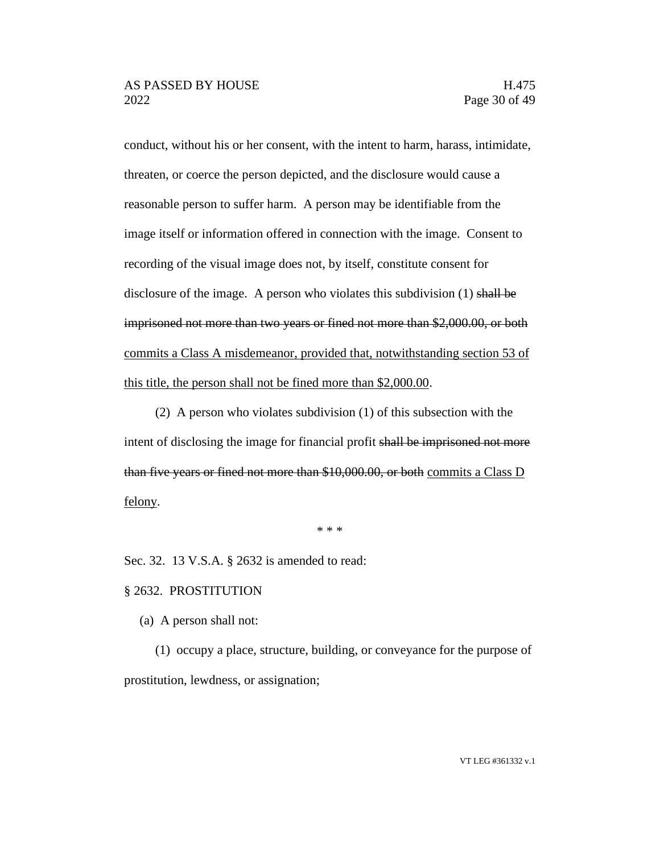conduct, without his or her consent, with the intent to harm, harass, intimidate, threaten, or coerce the person depicted, and the disclosure would cause a reasonable person to suffer harm. A person may be identifiable from the image itself or information offered in connection with the image. Consent to recording of the visual image does not, by itself, constitute consent for disclosure of the image. A person who violates this subdivision  $(1)$  shall be imprisoned not more than two years or fined not more than \$2,000.00, or both commits a Class A misdemeanor, provided that, notwithstanding section 53 of this title, the person shall not be fined more than \$2,000.00.

(2) A person who violates subdivision (1) of this subsection with the intent of disclosing the image for financial profit shall be imprisoned not more than five years or fined not more than \$10,000.00, or both commits a Class D felony.

\* \* \*

Sec. 32. 13 V.S.A. § 2632 is amended to read:

#### § 2632. PROSTITUTION

(a) A person shall not:

(1) occupy a place, structure, building, or conveyance for the purpose of prostitution, lewdness, or assignation;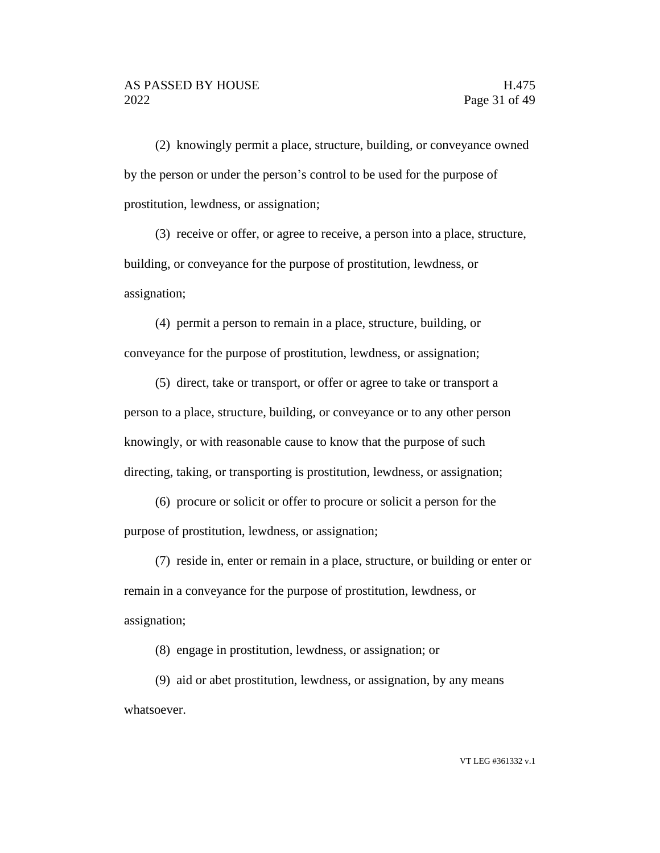(2) knowingly permit a place, structure, building, or conveyance owned by the person or under the person's control to be used for the purpose of prostitution, lewdness, or assignation;

(3) receive or offer, or agree to receive, a person into a place, structure, building, or conveyance for the purpose of prostitution, lewdness, or assignation;

(4) permit a person to remain in a place, structure, building, or conveyance for the purpose of prostitution, lewdness, or assignation;

(5) direct, take or transport, or offer or agree to take or transport a person to a place, structure, building, or conveyance or to any other person knowingly, or with reasonable cause to know that the purpose of such directing, taking, or transporting is prostitution, lewdness, or assignation;

(6) procure or solicit or offer to procure or solicit a person for the purpose of prostitution, lewdness, or assignation;

(7) reside in, enter or remain in a place, structure, or building or enter or remain in a conveyance for the purpose of prostitution, lewdness, or assignation;

(8) engage in prostitution, lewdness, or assignation; or

(9) aid or abet prostitution, lewdness, or assignation, by any means whatsoever.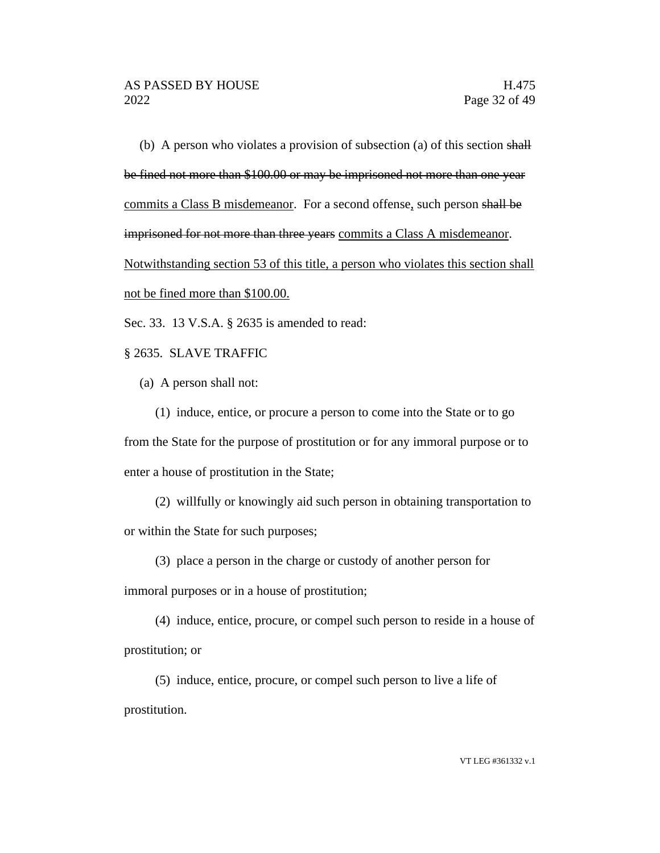(b) A person who violates a provision of subsection (a) of this section shall be fined not more than \$100.00 or may be imprisoned not more than one year commits a Class B misdemeanor. For a second offense, such person shall be imprisoned for not more than three years commits a Class A misdemeanor. Notwithstanding section 53 of this title, a person who violates this section shall not be fined more than \$100.00.

Sec. 33. 13 V.S.A. § 2635 is amended to read:

## § 2635. SLAVE TRAFFIC

(a) A person shall not:

(1) induce, entice, or procure a person to come into the State or to go from the State for the purpose of prostitution or for any immoral purpose or to enter a house of prostitution in the State;

(2) willfully or knowingly aid such person in obtaining transportation to or within the State for such purposes;

(3) place a person in the charge or custody of another person for

immoral purposes or in a house of prostitution;

(4) induce, entice, procure, or compel such person to reside in a house of prostitution; or

(5) induce, entice, procure, or compel such person to live a life of prostitution.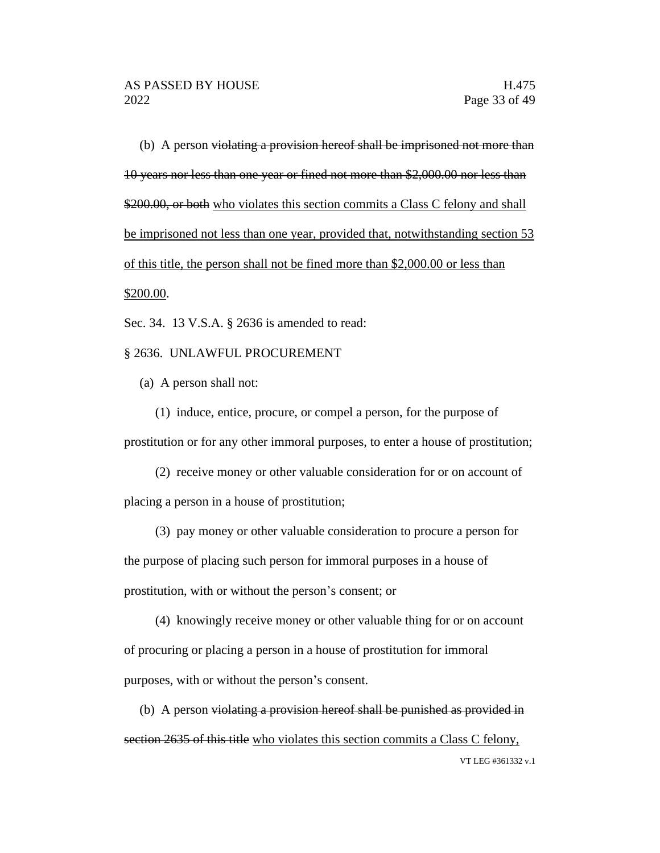(b) A person violating a provision hereof shall be imprisoned not more than 10 years nor less than one year or fined not more than \$2,000.00 nor less than \$200.00, or both who violates this section commits a Class C felony and shall be imprisoned not less than one year, provided that, notwithstanding section 53 of this title, the person shall not be fined more than \$2,000.00 or less than \$200.00.

Sec. 34. 13 V.S.A. § 2636 is amended to read:

### § 2636. UNLAWFUL PROCUREMENT

(a) A person shall not:

(1) induce, entice, procure, or compel a person, for the purpose of prostitution or for any other immoral purposes, to enter a house of prostitution;

(2) receive money or other valuable consideration for or on account of placing a person in a house of prostitution;

(3) pay money or other valuable consideration to procure a person for the purpose of placing such person for immoral purposes in a house of prostitution, with or without the person's consent; or

(4) knowingly receive money or other valuable thing for or on account of procuring or placing a person in a house of prostitution for immoral purposes, with or without the person's consent.

VT LEG #361332 v.1 (b) A person violating a provision hereof shall be punished as provided in section 2635 of this title who violates this section commits a Class C felony,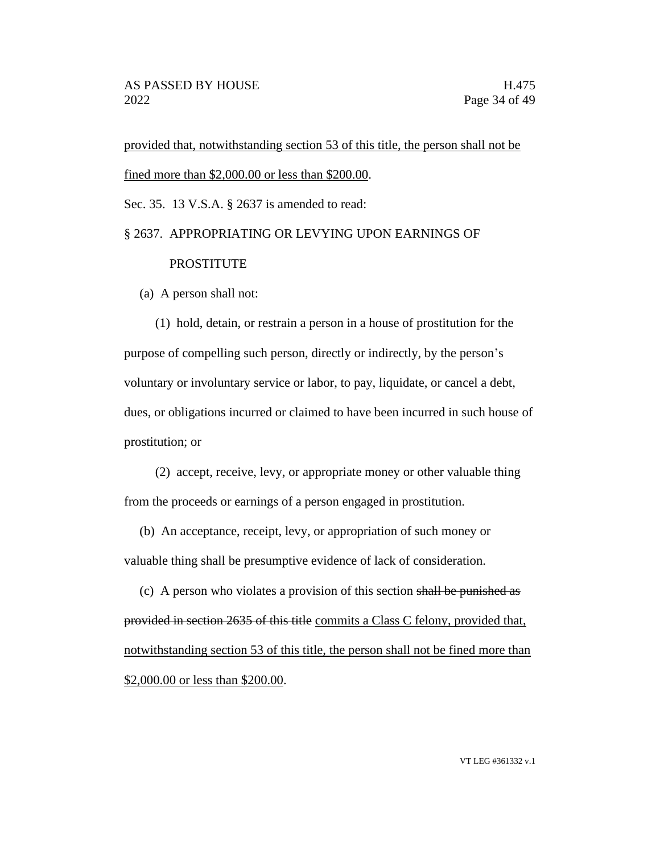provided that, notwithstanding section 53 of this title, the person shall not be fined more than \$2,000.00 or less than \$200.00.

Sec. 35. 13 V.S.A. § 2637 is amended to read:

## § 2637. APPROPRIATING OR LEVYING UPON EARNINGS OF PROSTITUTE

(a) A person shall not:

(1) hold, detain, or restrain a person in a house of prostitution for the purpose of compelling such person, directly or indirectly, by the person's voluntary or involuntary service or labor, to pay, liquidate, or cancel a debt, dues, or obligations incurred or claimed to have been incurred in such house of prostitution; or

(2) accept, receive, levy, or appropriate money or other valuable thing from the proceeds or earnings of a person engaged in prostitution.

(b) An acceptance, receipt, levy, or appropriation of such money or valuable thing shall be presumptive evidence of lack of consideration.

(c) A person who violates a provision of this section shall be punished as provided in section 2635 of this title commits a Class C felony, provided that, notwithstanding section 53 of this title, the person shall not be fined more than \$2,000.00 or less than \$200.00.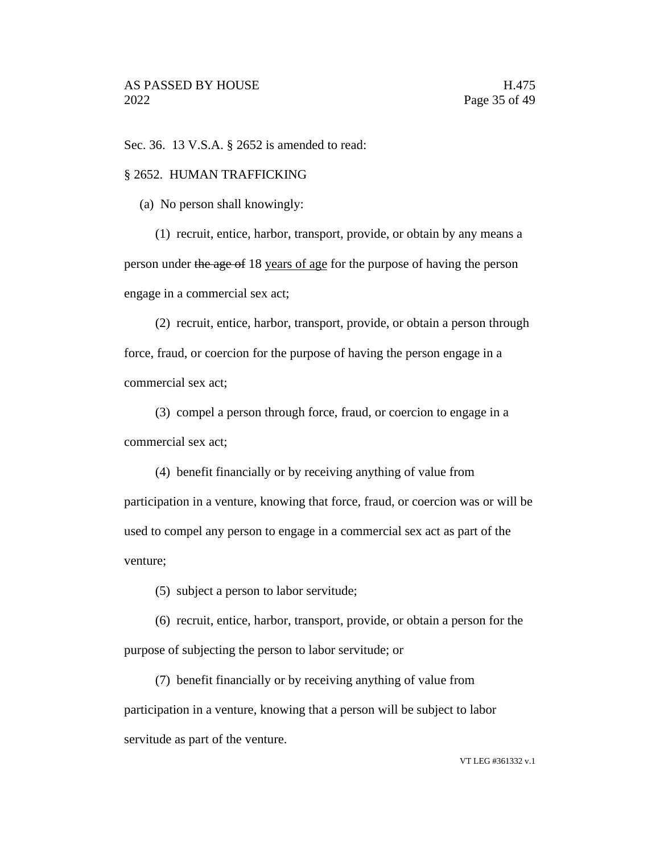Sec. 36. 13 V.S.A. § 2652 is amended to read:

#### § 2652. HUMAN TRAFFICKING

(a) No person shall knowingly:

(1) recruit, entice, harbor, transport, provide, or obtain by any means a person under the age of 18 years of age for the purpose of having the person engage in a commercial sex act;

(2) recruit, entice, harbor, transport, provide, or obtain a person through force, fraud, or coercion for the purpose of having the person engage in a commercial sex act;

(3) compel a person through force, fraud, or coercion to engage in a commercial sex act;

(4) benefit financially or by receiving anything of value from participation in a venture, knowing that force, fraud, or coercion was or will be used to compel any person to engage in a commercial sex act as part of the venture;

(5) subject a person to labor servitude;

(6) recruit, entice, harbor, transport, provide, or obtain a person for the purpose of subjecting the person to labor servitude; or

(7) benefit financially or by receiving anything of value from participation in a venture, knowing that a person will be subject to labor servitude as part of the venture.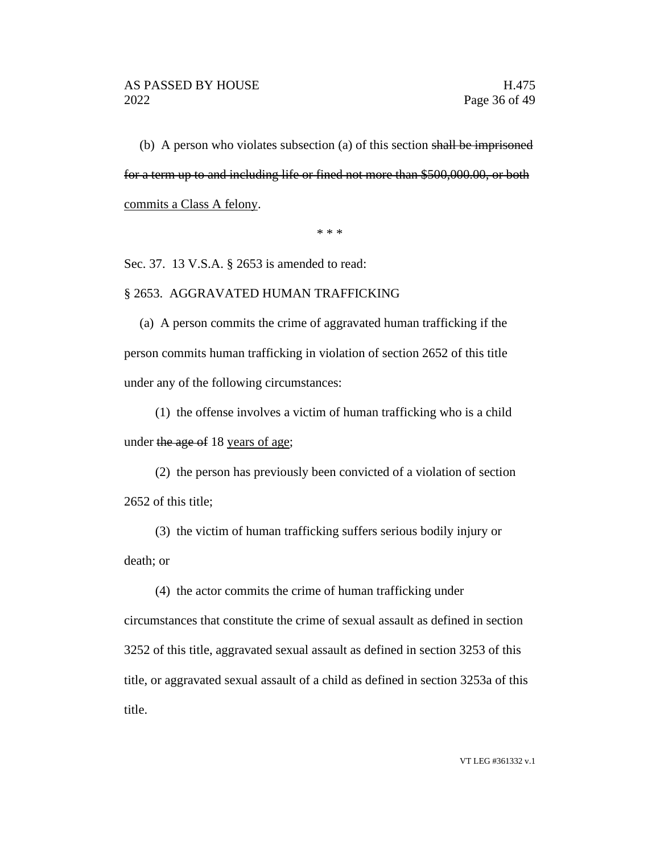(b) A person who violates subsection (a) of this section shall be imprisoned for a term up to and including life or fined not more than \$500,000.00, or both commits a Class A felony.

\* \* \*

Sec. 37. 13 V.S.A. § 2653 is amended to read:

#### § 2653. AGGRAVATED HUMAN TRAFFICKING

(a) A person commits the crime of aggravated human trafficking if the person commits human trafficking in violation of section 2652 of this title under any of the following circumstances:

(1) the offense involves a victim of human trafficking who is a child under the age of 18 years of age;

(2) the person has previously been convicted of a violation of section 2652 of this title;

(3) the victim of human trafficking suffers serious bodily injury or death; or

(4) the actor commits the crime of human trafficking under circumstances that constitute the crime of sexual assault as defined in section 3252 of this title, aggravated sexual assault as defined in section 3253 of this title, or aggravated sexual assault of a child as defined in section 3253a of this title.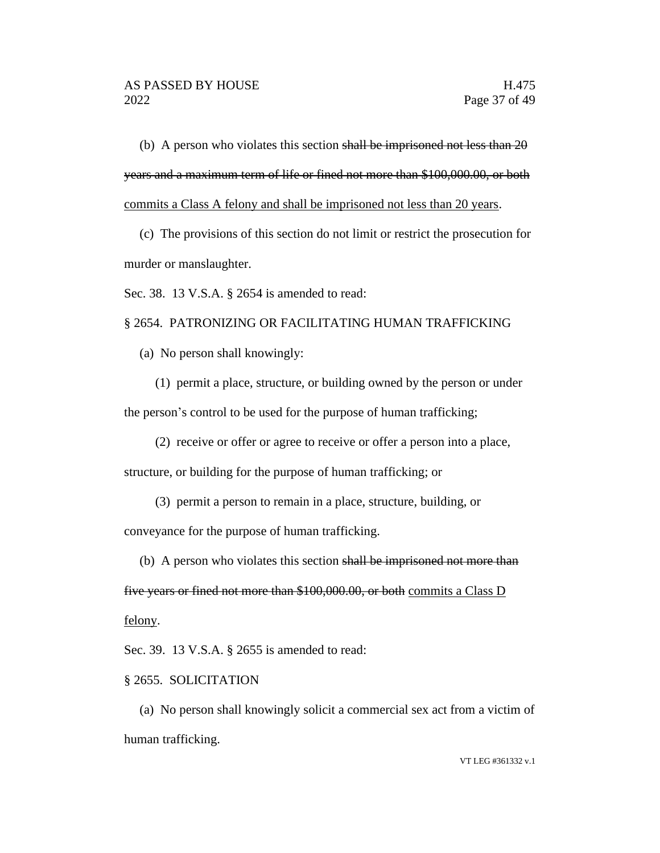(b) A person who violates this section shall be imprisoned not less than  $20$ years and a maximum term of life or fined not more than \$100,000.00, or both commits a Class A felony and shall be imprisoned not less than 20 years.

(c) The provisions of this section do not limit or restrict the prosecution for murder or manslaughter.

Sec. 38. 13 V.S.A. § 2654 is amended to read:

#### § 2654. PATRONIZING OR FACILITATING HUMAN TRAFFICKING

(a) No person shall knowingly:

(1) permit a place, structure, or building owned by the person or under the person's control to be used for the purpose of human trafficking;

(2) receive or offer or agree to receive or offer a person into a place,

structure, or building for the purpose of human trafficking; or

(3) permit a person to remain in a place, structure, building, or

conveyance for the purpose of human trafficking.

(b) A person who violates this section shall be imprisoned not more than

five years or fined not more than \$100,000.00, or both commits a Class D felony.

Sec. 39. 13 V.S.A. § 2655 is amended to read:

#### § 2655. SOLICITATION

(a) No person shall knowingly solicit a commercial sex act from a victim of human trafficking.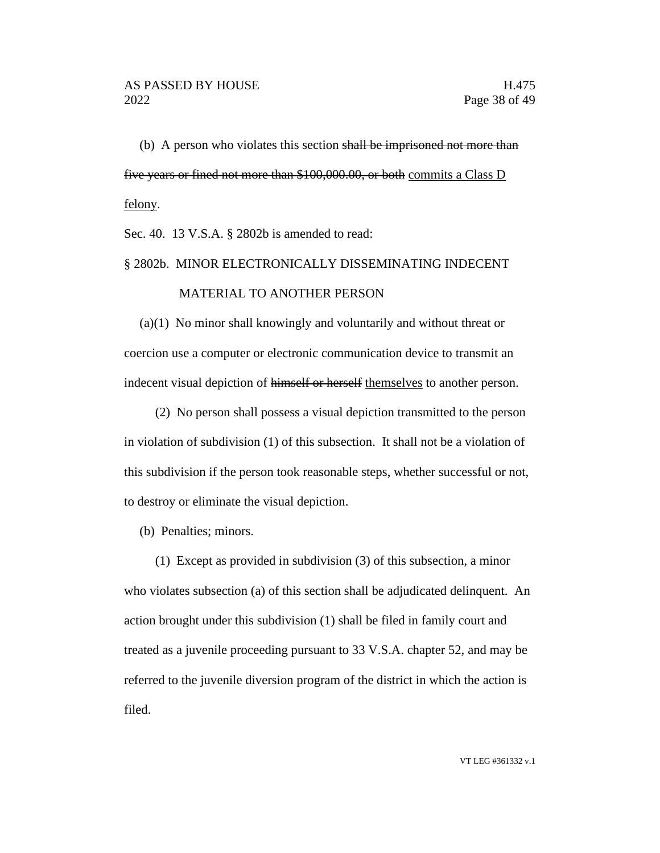(b) A person who violates this section shall be imprisoned not more than five years or fined not more than \$100,000.00, or both commits a Class D felony.

Sec. 40. 13 V.S.A. § 2802b is amended to read:

# § 2802b. MINOR ELECTRONICALLY DISSEMINATING INDECENT MATERIAL TO ANOTHER PERSON

(a)(1) No minor shall knowingly and voluntarily and without threat or coercion use a computer or electronic communication device to transmit an indecent visual depiction of himself or herself themselves to another person.

(2) No person shall possess a visual depiction transmitted to the person in violation of subdivision (1) of this subsection. It shall not be a violation of this subdivision if the person took reasonable steps, whether successful or not, to destroy or eliminate the visual depiction.

(b) Penalties; minors.

(1) Except as provided in subdivision (3) of this subsection, a minor who violates subsection (a) of this section shall be adjudicated delinquent. An action brought under this subdivision (1) shall be filed in family court and treated as a juvenile proceeding pursuant to 33 V.S.A. chapter 52, and may be referred to the juvenile diversion program of the district in which the action is filed.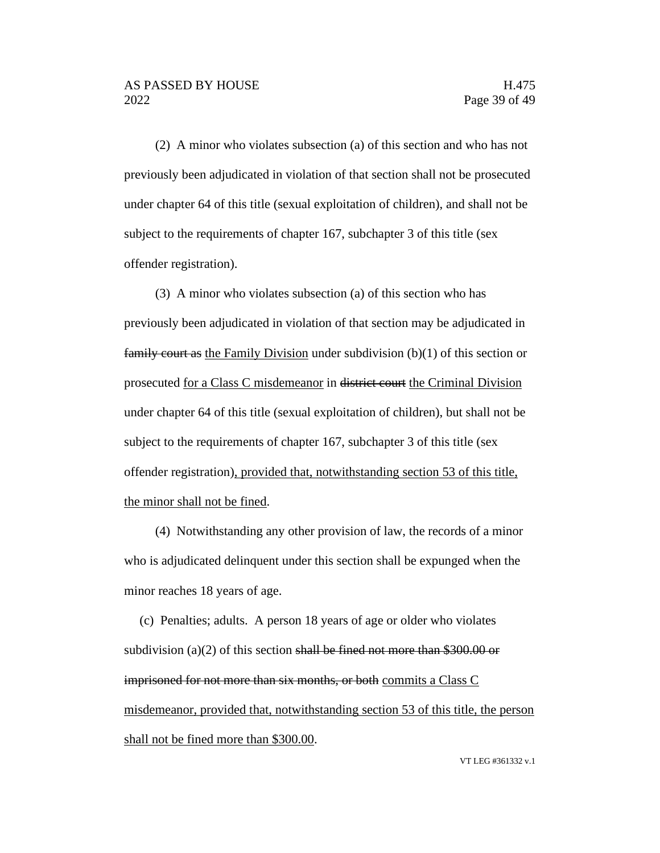(2) A minor who violates subsection (a) of this section and who has not previously been adjudicated in violation of that section shall not be prosecuted under chapter 64 of this title (sexual exploitation of children), and shall not be subject to the requirements of chapter 167, subchapter 3 of this title (sex offender registration).

(3) A minor who violates subsection (a) of this section who has previously been adjudicated in violation of that section may be adjudicated in **family court as the Family Division under subdivision (b)(1) of this section or** prosecuted for a Class C misdemeanor in district court the Criminal Division under chapter 64 of this title (sexual exploitation of children), but shall not be subject to the requirements of chapter 167, subchapter 3 of this title (sex offender registration), provided that, notwithstanding section 53 of this title, the minor shall not be fined.

(4) Notwithstanding any other provision of law, the records of a minor who is adjudicated delinquent under this section shall be expunged when the minor reaches 18 years of age.

(c) Penalties; adults. A person 18 years of age or older who violates subdivision (a)(2) of this section shall be fined not more than  $$300.00$  or imprisoned for not more than six months, or both commits a Class C misdemeanor, provided that, notwithstanding section 53 of this title, the person shall not be fined more than \$300.00.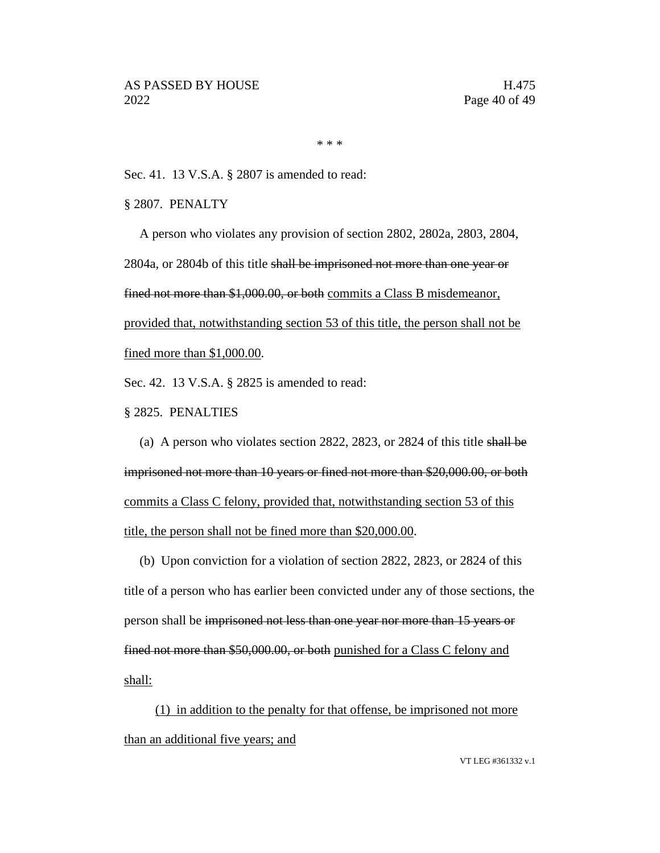\* \* \*

Sec. 41. 13 V.S.A. § 2807 is amended to read:

§ 2807. PENALTY

A person who violates any provision of section 2802, 2802a, 2803, 2804, 2804a, or 2804b of this title shall be imprisoned not more than one year or fined not more than \$1,000.00, or both commits a Class B misdemeanor, provided that, notwithstanding section 53 of this title, the person shall not be fined more than \$1,000.00.

Sec. 42. 13 V.S.A. § 2825 is amended to read:

§ 2825. PENALTIES

(a) A person who violates section 2822, 2823, or 2824 of this title shall be imprisoned not more than 10 years or fined not more than \$20,000.00, or both commits a Class C felony, provided that, notwithstanding section 53 of this title, the person shall not be fined more than \$20,000.00.

(b) Upon conviction for a violation of section 2822, 2823, or 2824 of this title of a person who has earlier been convicted under any of those sections, the person shall be imprisoned not less than one year nor more than 15 years or fined not more than \$50,000.00, or both punished for a Class C felony and shall:

(1) in addition to the penalty for that offense, be imprisoned not more than an additional five years; and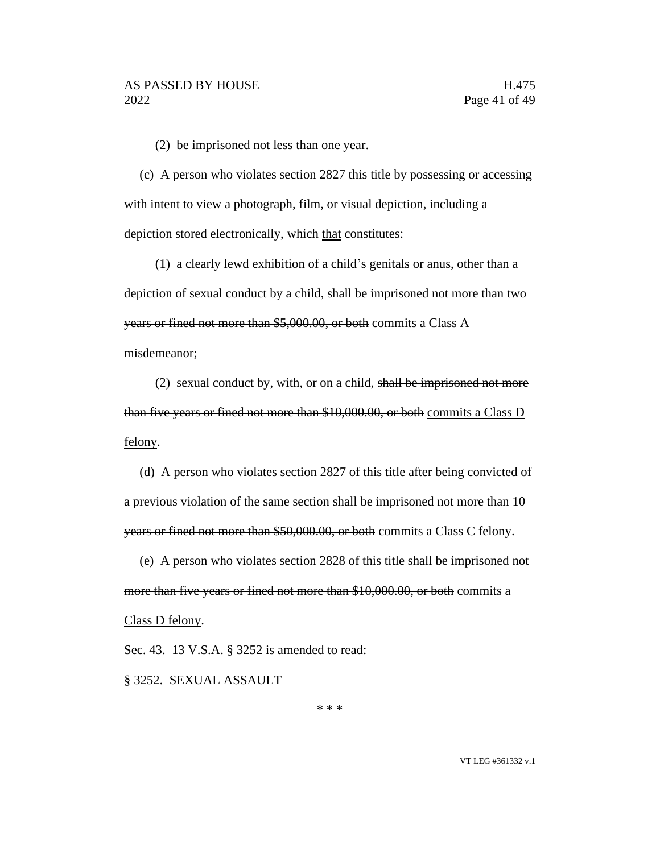#### (2) be imprisoned not less than one year.

(c) A person who violates section 2827 this title by possessing or accessing with intent to view a photograph, film, or visual depiction, including a depiction stored electronically, which that constitutes:

(1) a clearly lewd exhibition of a child's genitals or anus, other than a depiction of sexual conduct by a child, shall be imprisoned not more than two years or fined not more than \$5,000.00, or both commits a Class A misdemeanor;

(2) sexual conduct by, with, or on a child, shall be imprisoned not more than five years or fined not more than \$10,000.00, or both commits a Class D felony.

(d) A person who violates section 2827 of this title after being convicted of a previous violation of the same section shall be imprisoned not more than 10 years or fined not more than \$50,000.00, or both commits a Class C felony.

(e) A person who violates section 2828 of this title shall be imprisoned not more than five years or fined not more than \$10,000.00, or both commits a Class D felony.

Sec. 43. 13 V.S.A. § 3252 is amended to read:

§ 3252. SEXUAL ASSAULT

\* \* \*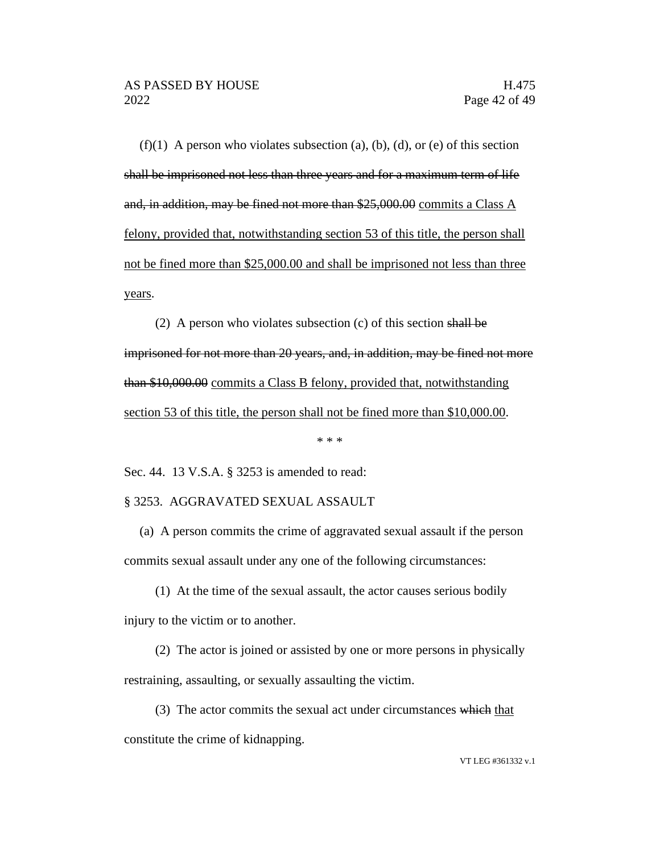$(f)(1)$  A person who violates subsection (a), (b), (d), or (e) of this section shall be imprisoned not less than three years and for a maximum term of life and, in addition, may be fined not more than \$25,000.00 commits a Class A felony, provided that, notwithstanding section 53 of this title, the person shall not be fined more than \$25,000.00 and shall be imprisoned not less than three years.

(2) A person who violates subsection (c) of this section shall be imprisoned for not more than 20 years, and, in addition, may be fined not more than \$10,000.00 commits a Class B felony, provided that, notwithstanding section 53 of this title, the person shall not be fined more than \$10,000.00.

\* \* \*

Sec. 44. 13 V.S.A. § 3253 is amended to read:

#### § 3253. AGGRAVATED SEXUAL ASSAULT

(a) A person commits the crime of aggravated sexual assault if the person commits sexual assault under any one of the following circumstances:

(1) At the time of the sexual assault, the actor causes serious bodily injury to the victim or to another.

(2) The actor is joined or assisted by one or more persons in physically restraining, assaulting, or sexually assaulting the victim.

(3) The actor commits the sexual act under circumstances which that constitute the crime of kidnapping.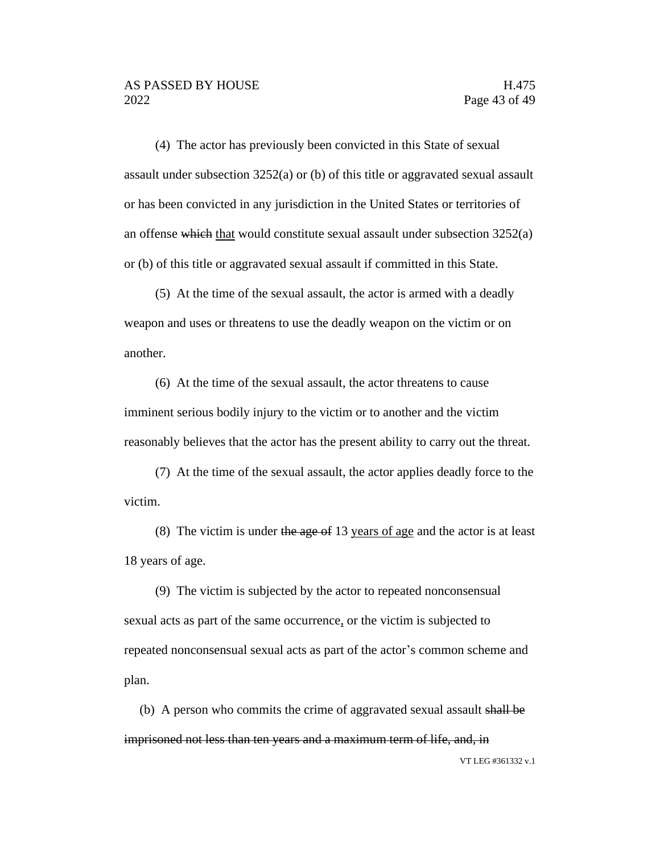(4) The actor has previously been convicted in this State of sexual assault under subsection 3252(a) or (b) of this title or aggravated sexual assault or has been convicted in any jurisdiction in the United States or territories of an offense which that would constitute sexual assault under subsection 3252(a) or (b) of this title or aggravated sexual assault if committed in this State.

(5) At the time of the sexual assault, the actor is armed with a deadly weapon and uses or threatens to use the deadly weapon on the victim or on another.

(6) At the time of the sexual assault, the actor threatens to cause imminent serious bodily injury to the victim or to another and the victim reasonably believes that the actor has the present ability to carry out the threat.

(7) At the time of the sexual assault, the actor applies deadly force to the victim.

(8) The victim is under the age of 13 years of age and the actor is at least 18 years of age.

(9) The victim is subjected by the actor to repeated nonconsensual sexual acts as part of the same occurrence, or the victim is subjected to repeated nonconsensual sexual acts as part of the actor's common scheme and plan.

VT LEG #361332 v.1 (b) A person who commits the crime of aggravated sexual assault shall be imprisoned not less than ten years and a maximum term of life, and, in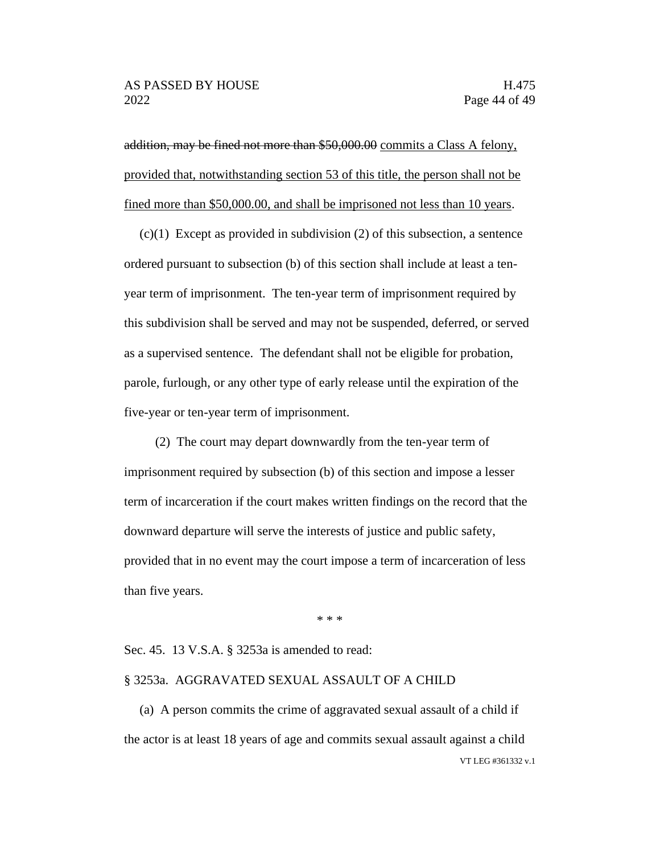addition, may be fined not more than \$50,000.00 commits a Class A felony, provided that, notwithstanding section 53 of this title, the person shall not be fined more than \$50,000.00, and shall be imprisoned not less than 10 years.

 $(c)(1)$  Except as provided in subdivision  $(2)$  of this subsection, a sentence ordered pursuant to subsection (b) of this section shall include at least a tenyear term of imprisonment. The ten-year term of imprisonment required by this subdivision shall be served and may not be suspended, deferred, or served as a supervised sentence. The defendant shall not be eligible for probation, parole, furlough, or any other type of early release until the expiration of the five-year or ten-year term of imprisonment.

(2) The court may depart downwardly from the ten-year term of imprisonment required by subsection (b) of this section and impose a lesser term of incarceration if the court makes written findings on the record that the downward departure will serve the interests of justice and public safety, provided that in no event may the court impose a term of incarceration of less than five years.

\* \* \*

#### Sec. 45. 13 V.S.A. § 3253a is amended to read:

#### § 3253a. AGGRAVATED SEXUAL ASSAULT OF A CHILD

VT LEG #361332 v.1 (a) A person commits the crime of aggravated sexual assault of a child if the actor is at least 18 years of age and commits sexual assault against a child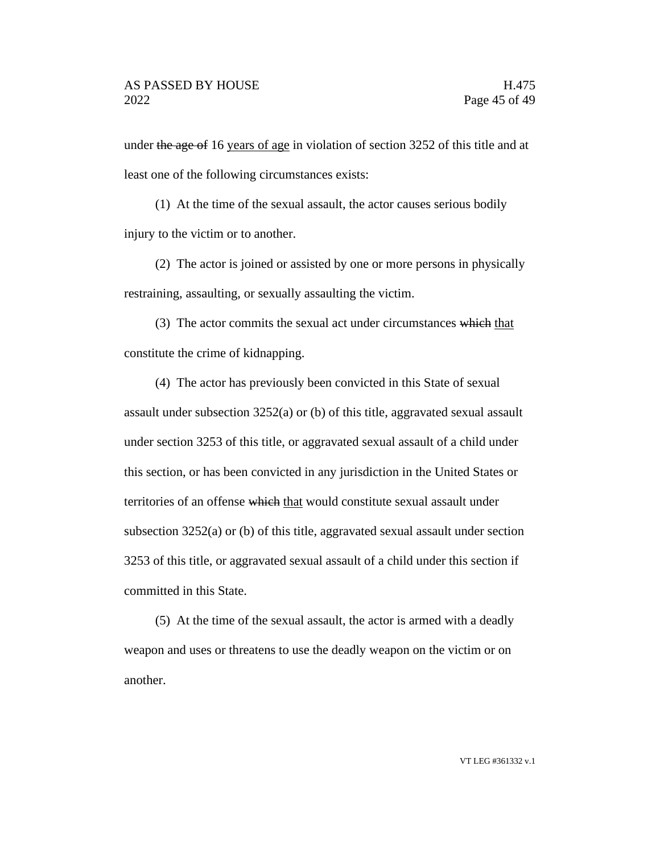under the age of 16 years of age in violation of section 3252 of this title and at least one of the following circumstances exists:

(1) At the time of the sexual assault, the actor causes serious bodily injury to the victim or to another.

(2) The actor is joined or assisted by one or more persons in physically restraining, assaulting, or sexually assaulting the victim.

(3) The actor commits the sexual act under circumstances which that constitute the crime of kidnapping.

(4) The actor has previously been convicted in this State of sexual assault under subsection 3252(a) or (b) of this title, aggravated sexual assault under section 3253 of this title, or aggravated sexual assault of a child under this section, or has been convicted in any jurisdiction in the United States or territories of an offense which that would constitute sexual assault under subsection 3252(a) or (b) of this title, aggravated sexual assault under section 3253 of this title, or aggravated sexual assault of a child under this section if committed in this State.

(5) At the time of the sexual assault, the actor is armed with a deadly weapon and uses or threatens to use the deadly weapon on the victim or on another.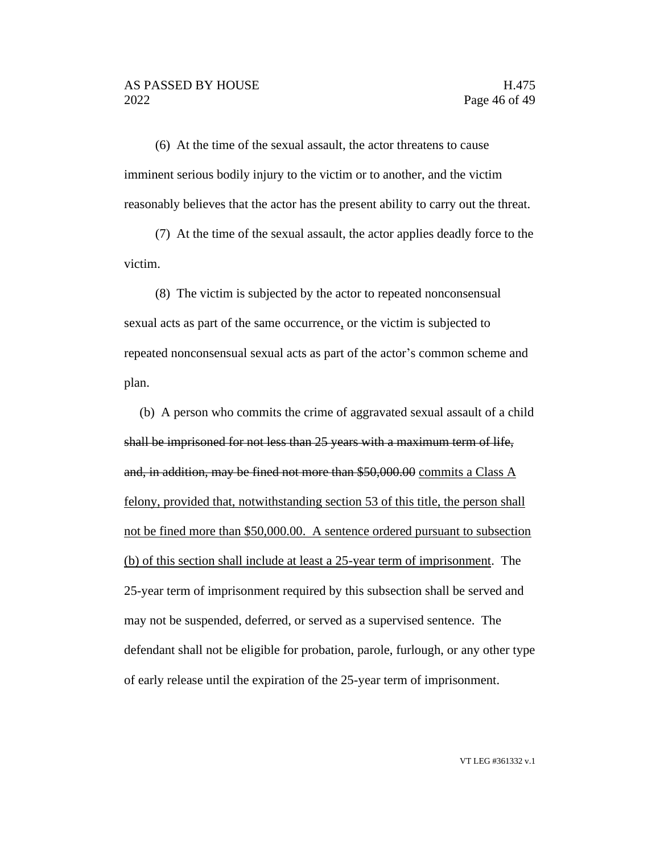(6) At the time of the sexual assault, the actor threatens to cause imminent serious bodily injury to the victim or to another, and the victim reasonably believes that the actor has the present ability to carry out the threat.

(7) At the time of the sexual assault, the actor applies deadly force to the victim.

(8) The victim is subjected by the actor to repeated nonconsensual sexual acts as part of the same occurrence, or the victim is subjected to repeated nonconsensual sexual acts as part of the actor's common scheme and plan.

(b) A person who commits the crime of aggravated sexual assault of a child shall be imprisoned for not less than 25 years with a maximum term of life, and, in addition, may be fined not more than \$50,000.00 commits a Class A felony, provided that, notwithstanding section 53 of this title, the person shall not be fined more than \$50,000.00. A sentence ordered pursuant to subsection (b) of this section shall include at least a 25-year term of imprisonment. The 25-year term of imprisonment required by this subsection shall be served and may not be suspended, deferred, or served as a supervised sentence. The defendant shall not be eligible for probation, parole, furlough, or any other type of early release until the expiration of the 25-year term of imprisonment.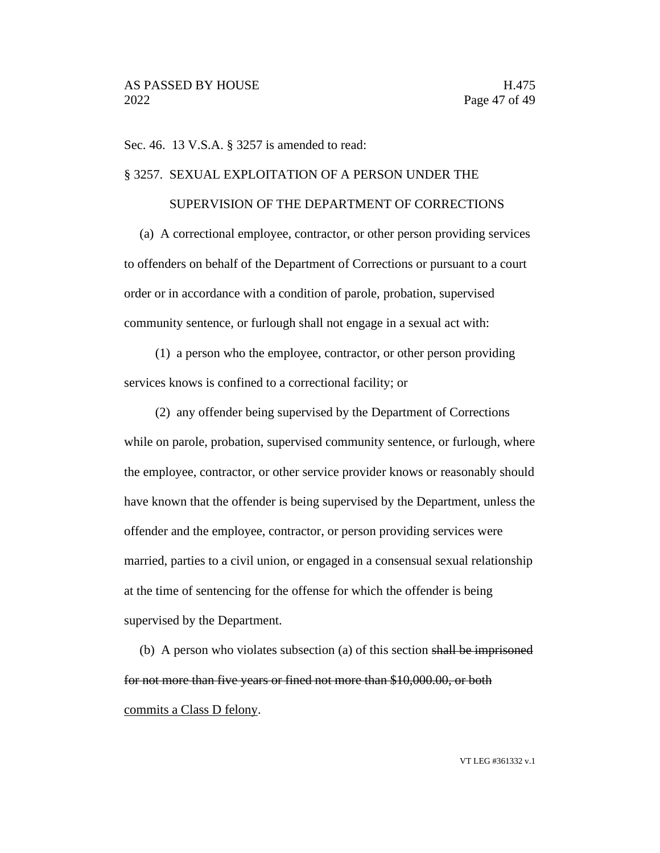Sec. 46. 13 V.S.A. § 3257 is amended to read:

#### § 3257. SEXUAL EXPLOITATION OF A PERSON UNDER THE

### SUPERVISION OF THE DEPARTMENT OF CORRECTIONS

(a) A correctional employee, contractor, or other person providing services to offenders on behalf of the Department of Corrections or pursuant to a court order or in accordance with a condition of parole, probation, supervised community sentence, or furlough shall not engage in a sexual act with:

(1) a person who the employee, contractor, or other person providing services knows is confined to a correctional facility; or

(2) any offender being supervised by the Department of Corrections while on parole, probation, supervised community sentence, or furlough, where the employee, contractor, or other service provider knows or reasonably should have known that the offender is being supervised by the Department, unless the offender and the employee, contractor, or person providing services were married, parties to a civil union, or engaged in a consensual sexual relationship at the time of sentencing for the offense for which the offender is being supervised by the Department.

(b) A person who violates subsection (a) of this section shall be imprisoned for not more than five years or fined not more than \$10,000.00, or both commits a Class D felony.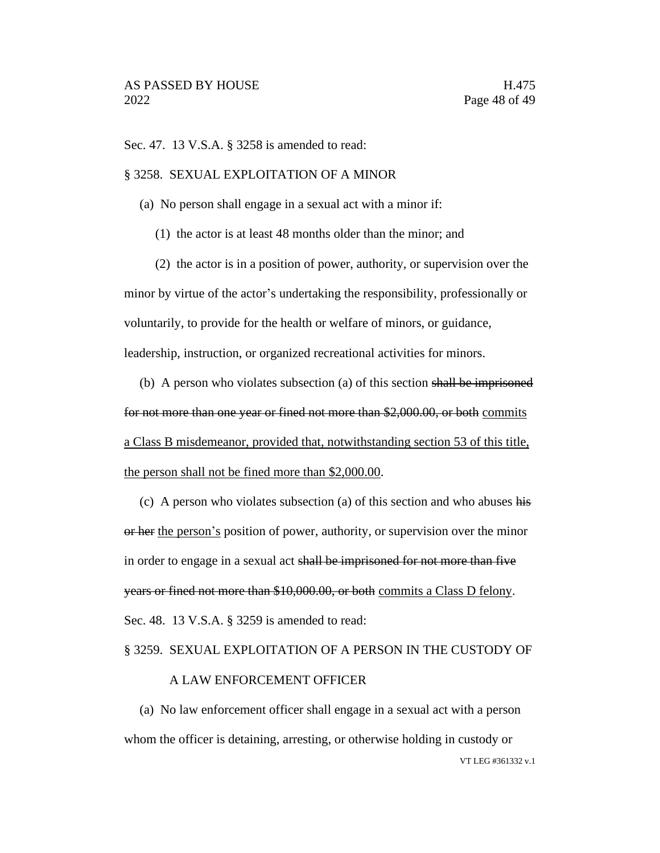Sec. 47. 13 V.S.A. § 3258 is amended to read:

#### § 3258. SEXUAL EXPLOITATION OF A MINOR

- (a) No person shall engage in a sexual act with a minor if:
	- (1) the actor is at least 48 months older than the minor; and

(2) the actor is in a position of power, authority, or supervision over the minor by virtue of the actor's undertaking the responsibility, professionally or voluntarily, to provide for the health or welfare of minors, or guidance, leadership, instruction, or organized recreational activities for minors.

(b) A person who violates subsection (a) of this section shall be imprisoned for not more than one year or fined not more than \$2,000.00, or both commits a Class B misdemeanor, provided that, notwithstanding section 53 of this title, the person shall not be fined more than \$2,000.00.

(c) A person who violates subsection (a) of this section and who abuses his or her the person's position of power, authority, or supervision over the minor in order to engage in a sexual act shall be imprisoned for not more than five years or fined not more than \$10,000.00, or both commits a Class D felony. Sec. 48. 13 V.S.A. § 3259 is amended to read:

#### § 3259. SEXUAL EXPLOITATION OF A PERSON IN THE CUSTODY OF

#### A LAW ENFORCEMENT OFFICER

VT LEG #361332 v.1 (a) No law enforcement officer shall engage in a sexual act with a person whom the officer is detaining, arresting, or otherwise holding in custody or